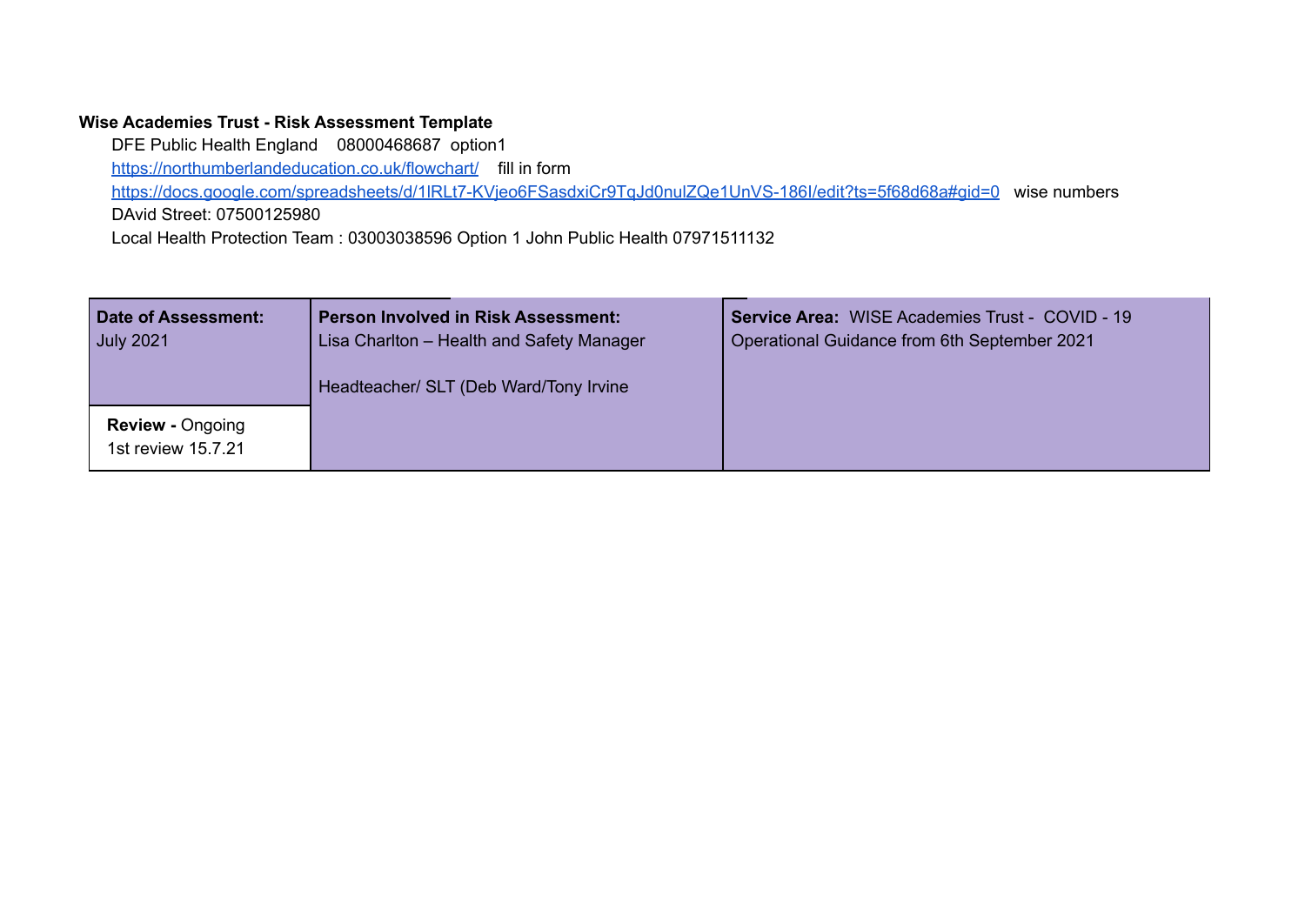## **Wise Academies Trust - Risk Assessment Template**

DFE Public Health England 08000468687 option1 <https://northumberlandeducation.co.uk/flowchart/> fill in form <https://docs.google.com/spreadsheets/d/1lRLt7-KVjeo6FSasdxiCr9TqJd0nulZQe1UnVS-186I/edit?ts=5f68d68a#gid=0> wise numbers DAvid Street: 07500125980 Local Health Protection Team : 03003038596 Option 1 John Public Health 07971511132

| Date of Assessment:<br><b>July 2021</b>       | <b>Person Involved in Risk Assessment:</b><br>Lisa Charlton - Health and Safety Manager<br>Headteacher/ SLT (Deb Ward/Tony Irvine | <b>Service Area: WISE Academies Trust - COVID - 19</b><br>Operational Guidance from 6th September 2021 |
|-----------------------------------------------|-----------------------------------------------------------------------------------------------------------------------------------|--------------------------------------------------------------------------------------------------------|
| <b>Review - Ongoing</b><br>1st review 15.7.21 |                                                                                                                                   |                                                                                                        |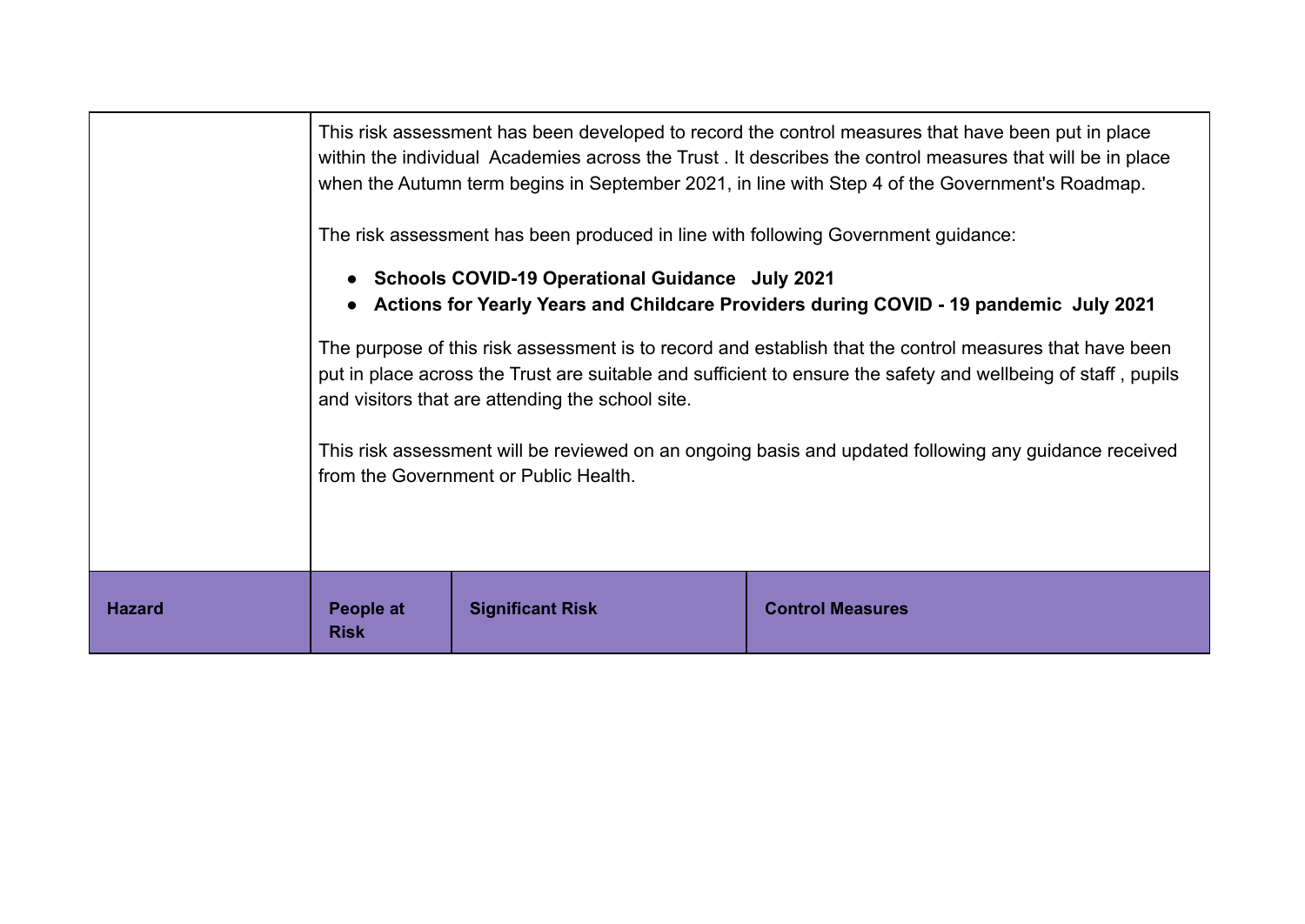|               | This risk assessment has been developed to record the control measures that have been put in place<br>within the individual Academies across the Trust. It describes the control measures that will be in place<br>when the Autumn term begins in September 2021, in line with Step 4 of the Government's Roadmap. |                         |                         |
|---------------|--------------------------------------------------------------------------------------------------------------------------------------------------------------------------------------------------------------------------------------------------------------------------------------------------------------------|-------------------------|-------------------------|
|               | The risk assessment has been produced in line with following Government guidance:<br>• Schools COVID-19 Operational Guidance July 2021<br>• Actions for Yearly Years and Childcare Providers during COVID - 19 pandemic July 2021                                                                                  |                         |                         |
|               | The purpose of this risk assessment is to record and establish that the control measures that have been<br>put in place across the Trust are suitable and sufficient to ensure the safety and wellbeing of staff, pupils<br>and visitors that are attending the school site.                                       |                         |                         |
|               | This risk assessment will be reviewed on an ongoing basis and updated following any guidance received<br>from the Government or Public Health.                                                                                                                                                                     |                         |                         |
| <b>Hazard</b> | People at<br><b>Risk</b>                                                                                                                                                                                                                                                                                           | <b>Significant Risk</b> | <b>Control Measures</b> |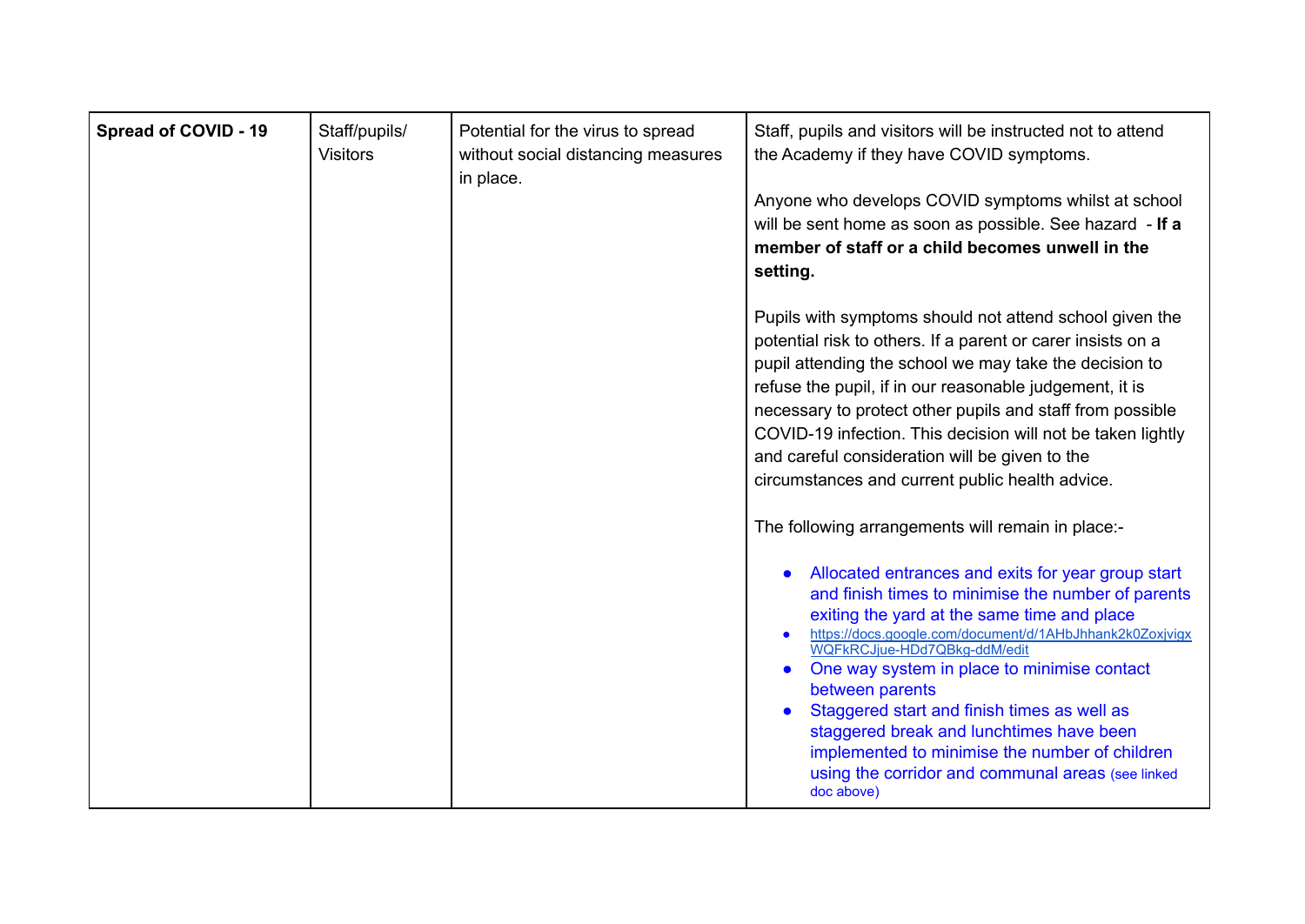| <b>Spread of COVID - 19</b> | Staff/pupils/<br><b>Visitors</b> | Potential for the virus to spread<br>without social distancing measures<br>in place. | Staff, pupils and visitors will be instructed not to attend<br>the Academy if they have COVID symptoms.<br>Anyone who develops COVID symptoms whilst at school<br>will be sent home as soon as possible. See hazard - If a<br>member of staff or a child becomes unwell in the<br>setting.                                                                                                                                                                                                                                                                      |
|-----------------------------|----------------------------------|--------------------------------------------------------------------------------------|-----------------------------------------------------------------------------------------------------------------------------------------------------------------------------------------------------------------------------------------------------------------------------------------------------------------------------------------------------------------------------------------------------------------------------------------------------------------------------------------------------------------------------------------------------------------|
|                             |                                  |                                                                                      | Pupils with symptoms should not attend school given the<br>potential risk to others. If a parent or carer insists on a<br>pupil attending the school we may take the decision to<br>refuse the pupil, if in our reasonable judgement, it is<br>necessary to protect other pupils and staff from possible<br>COVID-19 infection. This decision will not be taken lightly<br>and careful consideration will be given to the<br>circumstances and current public health advice.<br>The following arrangements will remain in place:-                               |
|                             |                                  |                                                                                      | Allocated entrances and exits for year group start<br>and finish times to minimise the number of parents<br>exiting the yard at the same time and place<br>https://docs.google.com/document/d/1AHbJhhank2k0Zoxjvigx<br>WQFkRCJiue-HDd7QBkg-ddM/edit<br>One way system in place to minimise contact<br>$\bullet$<br>between parents<br>Staggered start and finish times as well as<br>$\bullet$<br>staggered break and lunchtimes have been<br>implemented to minimise the number of children<br>using the corridor and communal areas (see linked<br>doc above) |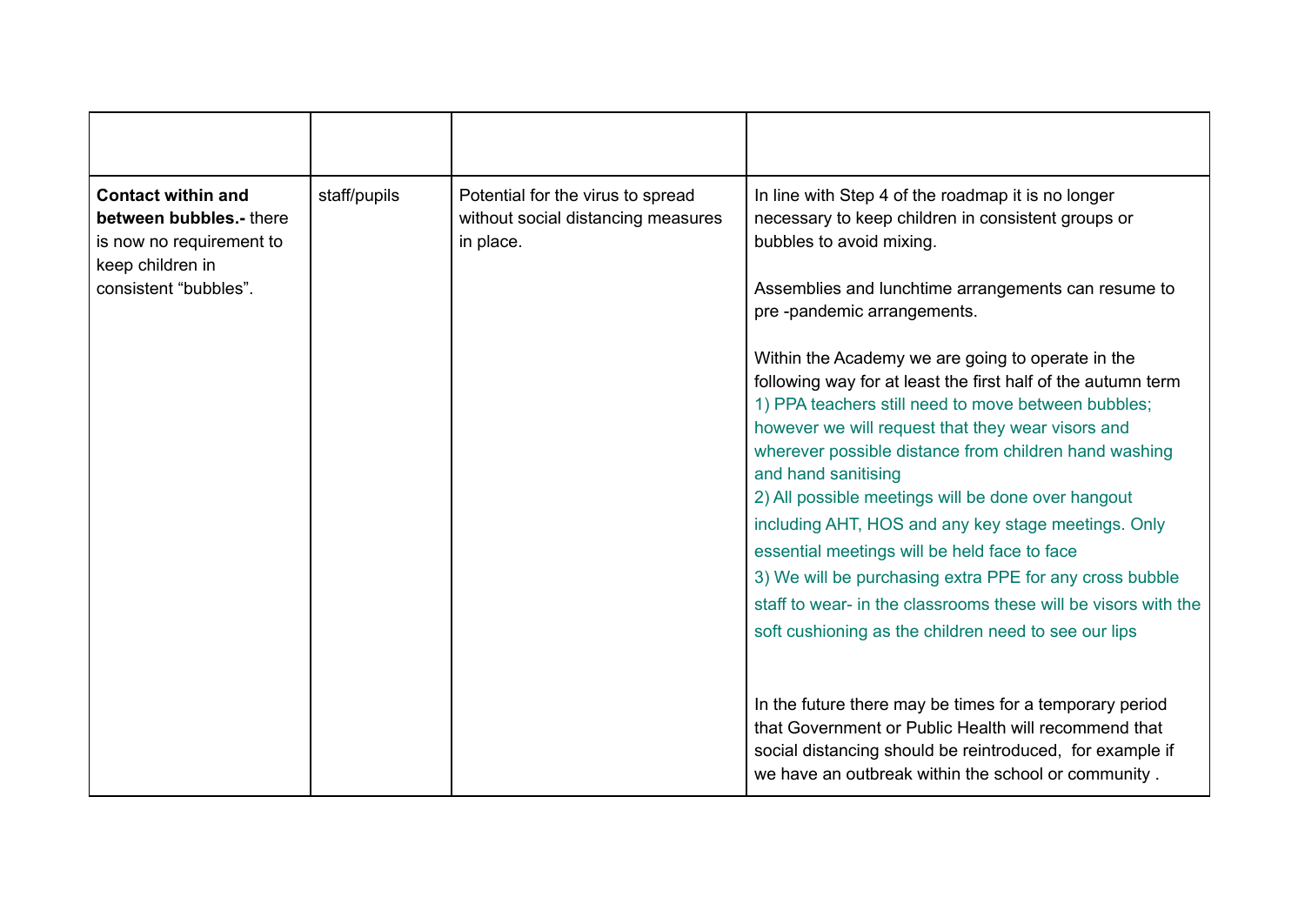| <b>Contact within and</b><br>between bubbles.- there<br>is now no requirement to<br>keep children in<br>consistent "bubbles". | staff/pupils | Potential for the virus to spread<br>without social distancing measures<br>in place. | In line with Step 4 of the roadmap it is no longer<br>necessary to keep children in consistent groups or<br>bubbles to avoid mixing.<br>Assemblies and lunchtime arrangements can resume to                                                                                                                                                                                                                                                                                                                                                                                                                                                                                                   |
|-------------------------------------------------------------------------------------------------------------------------------|--------------|--------------------------------------------------------------------------------------|-----------------------------------------------------------------------------------------------------------------------------------------------------------------------------------------------------------------------------------------------------------------------------------------------------------------------------------------------------------------------------------------------------------------------------------------------------------------------------------------------------------------------------------------------------------------------------------------------------------------------------------------------------------------------------------------------|
|                                                                                                                               |              |                                                                                      | pre-pandemic arrangements.<br>Within the Academy we are going to operate in the<br>following way for at least the first half of the autumn term<br>1) PPA teachers still need to move between bubbles;<br>however we will request that they wear visors and<br>wherever possible distance from children hand washing<br>and hand sanitising<br>2) All possible meetings will be done over hangout<br>including AHT, HOS and any key stage meetings. Only<br>essential meetings will be held face to face<br>3) We will be purchasing extra PPE for any cross bubble<br>staff to wear- in the classrooms these will be visors with the<br>soft cushioning as the children need to see our lips |
|                                                                                                                               |              |                                                                                      | In the future there may be times for a temporary period<br>that Government or Public Health will recommend that<br>social distancing should be reintroduced, for example if<br>we have an outbreak within the school or community.                                                                                                                                                                                                                                                                                                                                                                                                                                                            |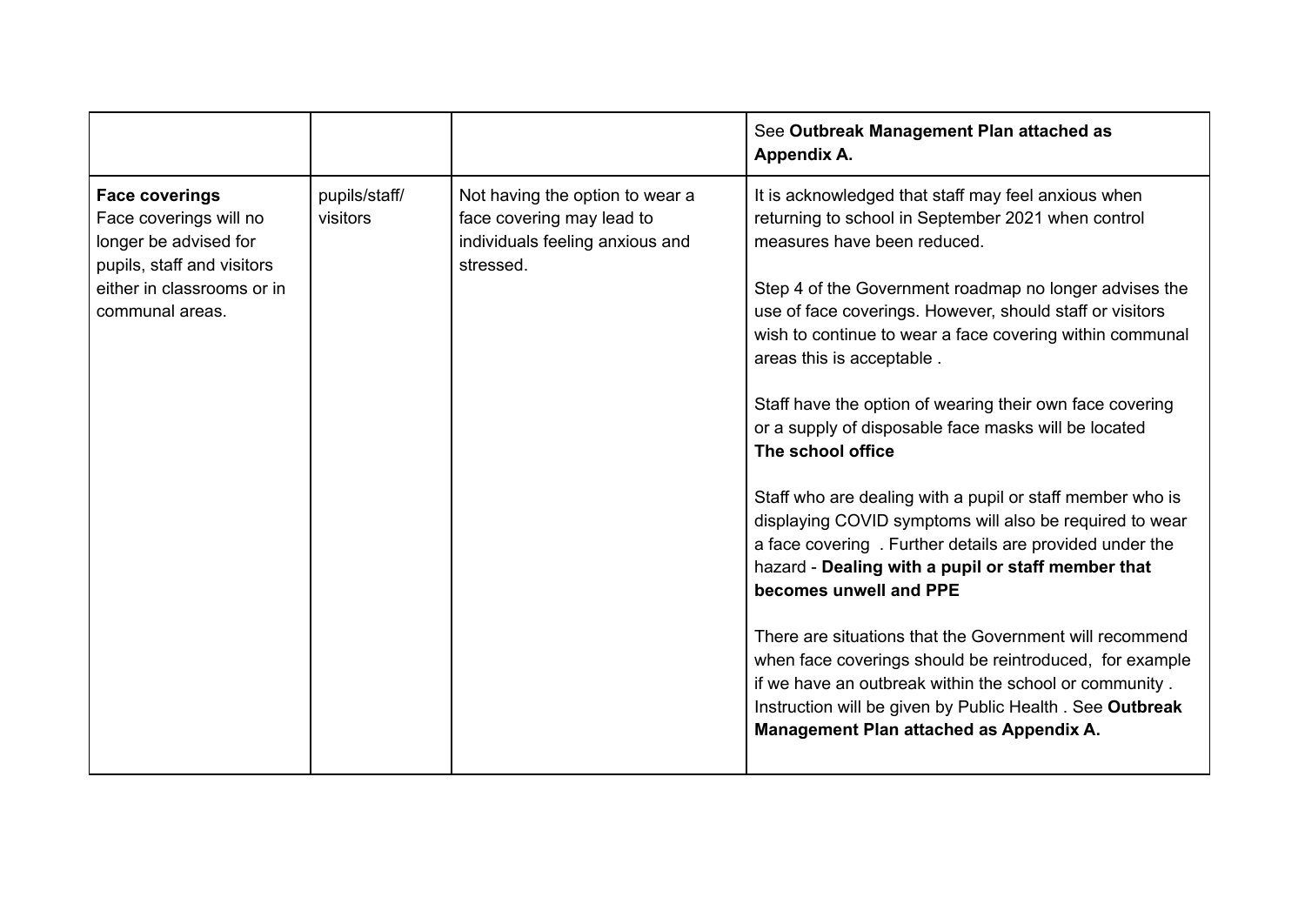|                                                                                                                                                         |                           |                                                                                                              | See Outbreak Management Plan attached as<br>Appendix A.                                                                                                                                                                                                                                                                                                                                                                                                                                                                                                                                                                                                                                                                                                                                                                                                                                                                                                                                                                                                     |
|---------------------------------------------------------------------------------------------------------------------------------------------------------|---------------------------|--------------------------------------------------------------------------------------------------------------|-------------------------------------------------------------------------------------------------------------------------------------------------------------------------------------------------------------------------------------------------------------------------------------------------------------------------------------------------------------------------------------------------------------------------------------------------------------------------------------------------------------------------------------------------------------------------------------------------------------------------------------------------------------------------------------------------------------------------------------------------------------------------------------------------------------------------------------------------------------------------------------------------------------------------------------------------------------------------------------------------------------------------------------------------------------|
| <b>Face coverings</b><br>Face coverings will no<br>longer be advised for<br>pupils, staff and visitors<br>either in classrooms or in<br>communal areas. | pupils/staff/<br>visitors | Not having the option to wear a<br>face covering may lead to<br>individuals feeling anxious and<br>stressed. | It is acknowledged that staff may feel anxious when<br>returning to school in September 2021 when control<br>measures have been reduced.<br>Step 4 of the Government roadmap no longer advises the<br>use of face coverings. However, should staff or visitors<br>wish to continue to wear a face covering within communal<br>areas this is acceptable.<br>Staff have the option of wearing their own face covering<br>or a supply of disposable face masks will be located<br>The school office<br>Staff who are dealing with a pupil or staff member who is<br>displaying COVID symptoms will also be required to wear<br>a face covering . Further details are provided under the<br>hazard - Dealing with a pupil or staff member that<br>becomes unwell and PPE<br>There are situations that the Government will recommend<br>when face coverings should be reintroduced, for example<br>if we have an outbreak within the school or community.<br>Instruction will be given by Public Health. See Outbreak<br>Management Plan attached as Appendix A. |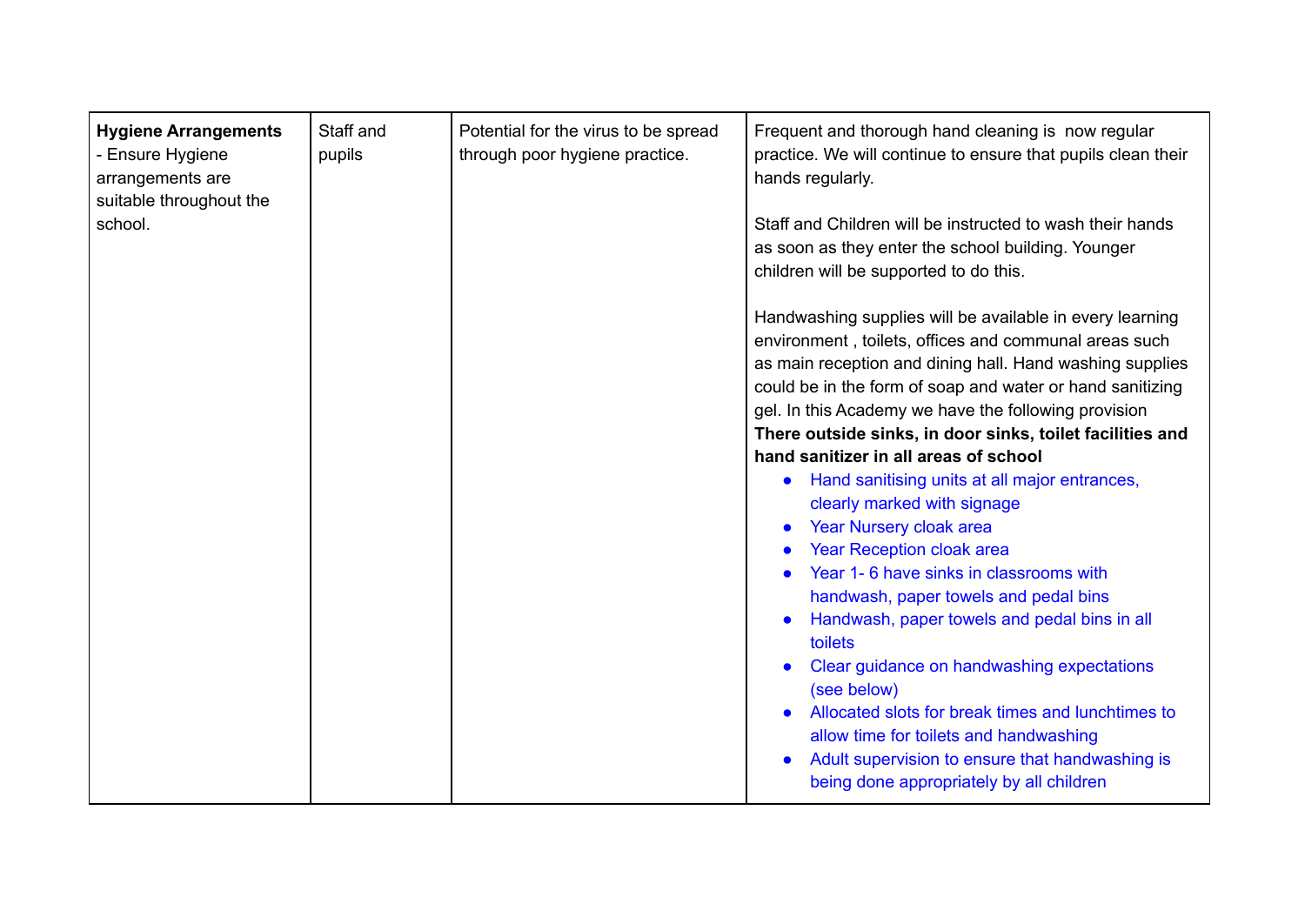| <b>Hygiene Arrangements</b><br>- Ensure Hygiene<br>arrangements are<br>suitable throughout the<br>school. | Staff and<br>pupils | Potential for the virus to be spread<br>through poor hygiene practice. | Frequent and thorough hand cleaning is now regular<br>practice. We will continue to ensure that pupils clean their<br>hands regularly.<br>Staff and Children will be instructed to wash their hands<br>as soon as they enter the school building. Younger<br>children will be supported to do this.<br>Handwashing supplies will be available in every learning<br>environment, toilets, offices and communal areas such<br>as main reception and dining hall. Hand washing supplies<br>could be in the form of soap and water or hand sanitizing<br>gel. In this Academy we have the following provision<br>There outside sinks, in door sinks, toilet facilities and<br>hand sanitizer in all areas of school<br>Hand sanitising units at all major entrances,<br>$\bullet$<br>clearly marked with signage<br>Year Nursery cloak area<br>$\bullet$<br><b>Year Reception cloak area</b><br>Year 1-6 have sinks in classrooms with<br>handwash, paper towels and pedal bins<br>Handwash, paper towels and pedal bins in all<br>toilets<br>Clear guidance on handwashing expectations<br>(see below)<br>Allocated slots for break times and lunchtimes to<br>allow time for toilets and handwashing<br>Adult supervision to ensure that handwashing is |
|-----------------------------------------------------------------------------------------------------------|---------------------|------------------------------------------------------------------------|-------------------------------------------------------------------------------------------------------------------------------------------------------------------------------------------------------------------------------------------------------------------------------------------------------------------------------------------------------------------------------------------------------------------------------------------------------------------------------------------------------------------------------------------------------------------------------------------------------------------------------------------------------------------------------------------------------------------------------------------------------------------------------------------------------------------------------------------------------------------------------------------------------------------------------------------------------------------------------------------------------------------------------------------------------------------------------------------------------------------------------------------------------------------------------------------------------------------------------------------------------|
|                                                                                                           |                     |                                                                        | being done appropriately by all children                                                                                                                                                                                                                                                                                                                                                                                                                                                                                                                                                                                                                                                                                                                                                                                                                                                                                                                                                                                                                                                                                                                                                                                                              |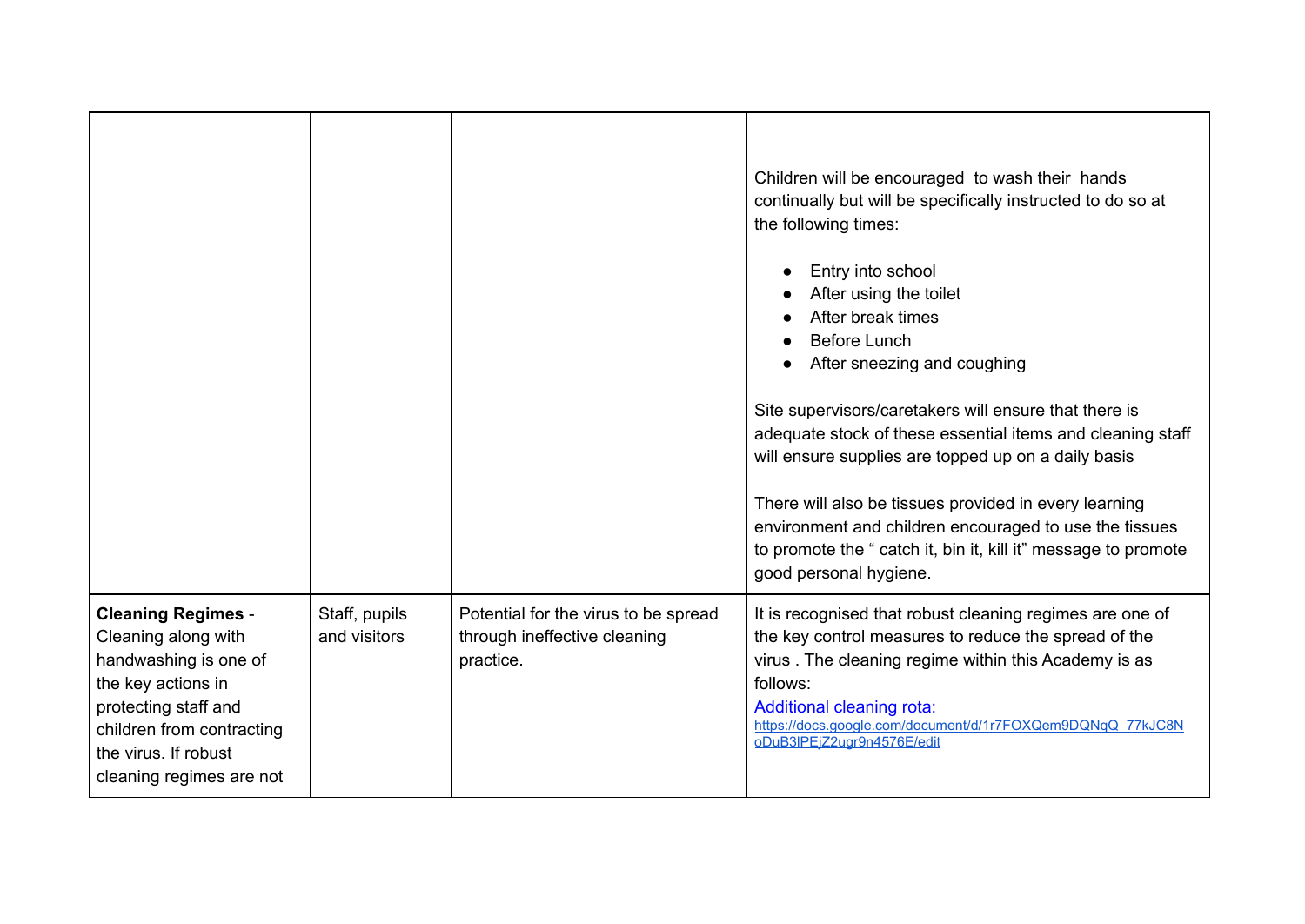|                                                                                                                                                                                                          |                               |                                                                                   | Children will be encouraged to wash their hands<br>continually but will be specifically instructed to do so at<br>the following times:<br>Entry into school<br>After using the toilet<br>After break times<br><b>Before Lunch</b><br>After sneezing and coughing<br>Site supervisors/caretakers will ensure that there is<br>adequate stock of these essential items and cleaning staff<br>will ensure supplies are topped up on a daily basis<br>There will also be tissues provided in every learning<br>environment and children encouraged to use the tissues<br>to promote the " catch it, bin it, kill it" message to promote<br>good personal hygiene. |
|----------------------------------------------------------------------------------------------------------------------------------------------------------------------------------------------------------|-------------------------------|-----------------------------------------------------------------------------------|---------------------------------------------------------------------------------------------------------------------------------------------------------------------------------------------------------------------------------------------------------------------------------------------------------------------------------------------------------------------------------------------------------------------------------------------------------------------------------------------------------------------------------------------------------------------------------------------------------------------------------------------------------------|
| <b>Cleaning Regimes -</b><br>Cleaning along with<br>handwashing is one of<br>the key actions in<br>protecting staff and<br>children from contracting<br>the virus. If robust<br>cleaning regimes are not | Staff, pupils<br>and visitors | Potential for the virus to be spread<br>through ineffective cleaning<br>practice. | It is recognised that robust cleaning regimes are one of<br>the key control measures to reduce the spread of the<br>virus. The cleaning regime within this Academy is as<br>follows:<br><b>Additional cleaning rota:</b><br>https://docs.google.com/document/d/1r7FOXQem9DQNgQ_77kJC8N<br>oDuB3IPEiZ2ugr9n4576E/edit                                                                                                                                                                                                                                                                                                                                          |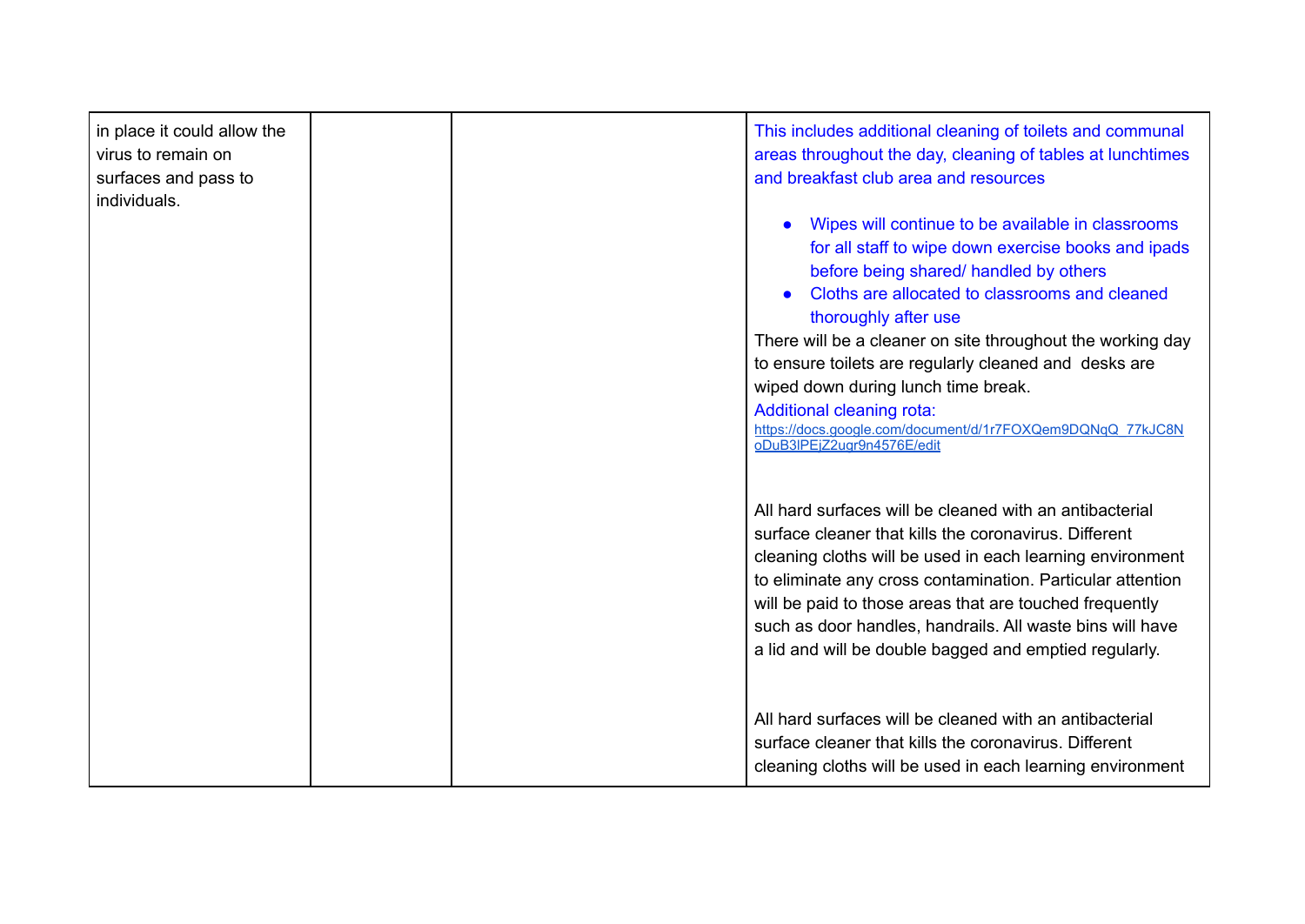| in place it could allow the<br>virus to remain on<br>surfaces and pass to<br>individuals. | This includes additional cleaning of toilets and communal<br>areas throughout the day, cleaning of tables at lunchtimes<br>and breakfast club area and resources<br>Wipes will continue to be available in classrooms<br>for all staff to wipe down exercise books and ipads<br>before being shared/ handled by others                                                                                                        |
|-------------------------------------------------------------------------------------------|-------------------------------------------------------------------------------------------------------------------------------------------------------------------------------------------------------------------------------------------------------------------------------------------------------------------------------------------------------------------------------------------------------------------------------|
|                                                                                           | Cloths are allocated to classrooms and cleaned<br>thoroughly after use                                                                                                                                                                                                                                                                                                                                                        |
|                                                                                           | There will be a cleaner on site throughout the working day<br>to ensure toilets are regularly cleaned and desks are                                                                                                                                                                                                                                                                                                           |
|                                                                                           | wiped down during lunch time break.                                                                                                                                                                                                                                                                                                                                                                                           |
|                                                                                           | <b>Additional cleaning rota:</b><br>https://docs.google.com/document/d/1r7FOXQem9DQNqQ_77kJC8N<br>oDuB3IPEjZ2ugr9n4576E/edit                                                                                                                                                                                                                                                                                                  |
|                                                                                           | All hard surfaces will be cleaned with an antibacterial<br>surface cleaner that kills the coronavirus. Different<br>cleaning cloths will be used in each learning environment<br>to eliminate any cross contamination. Particular attention<br>will be paid to those areas that are touched frequently<br>such as door handles, handrails. All waste bins will have<br>a lid and will be double bagged and emptied regularly. |
|                                                                                           | All hard surfaces will be cleaned with an antibacterial<br>surface cleaner that kills the coronavirus. Different<br>cleaning cloths will be used in each learning environment                                                                                                                                                                                                                                                 |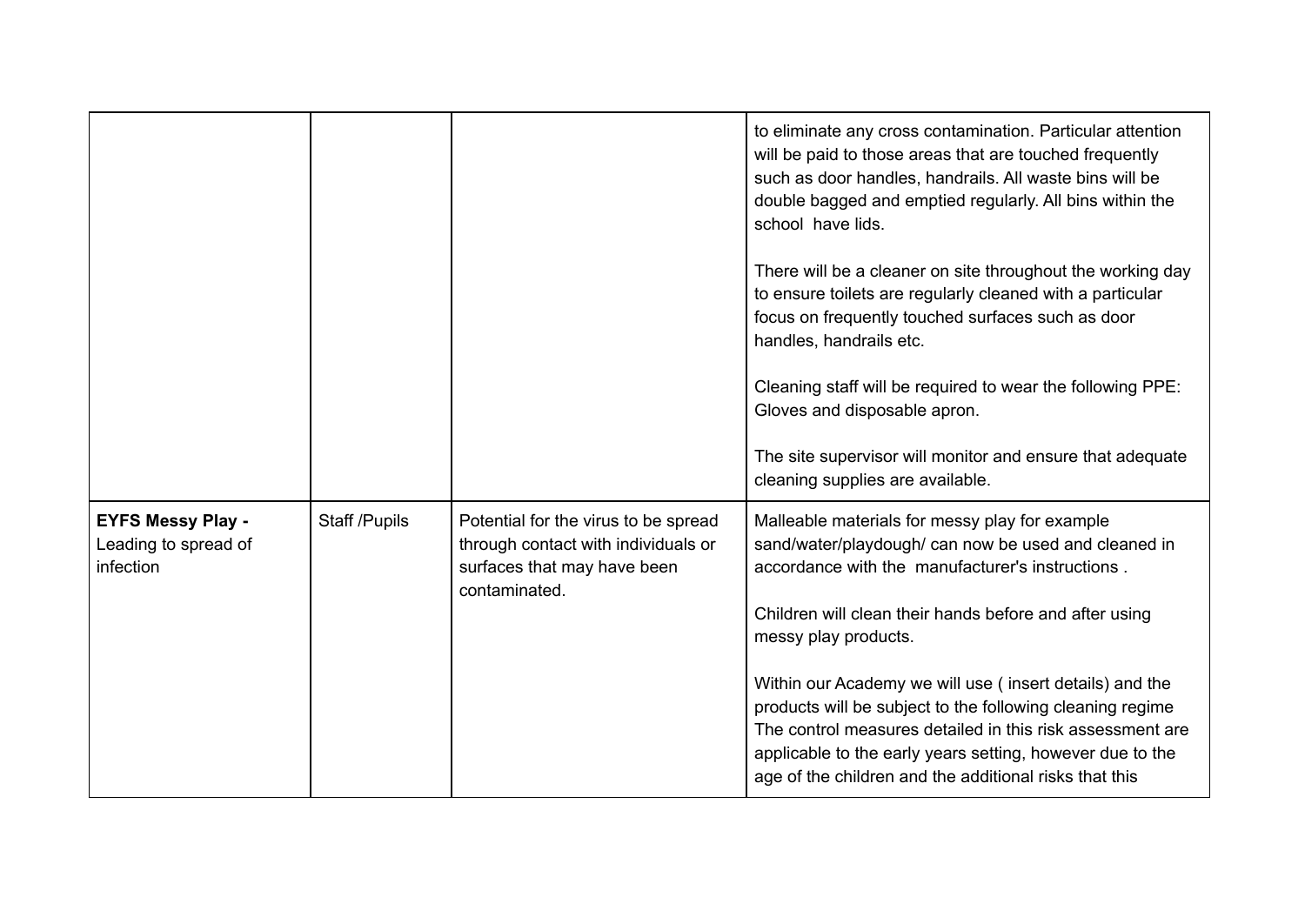|                                                               |               |                                                                                                                             | to eliminate any cross contamination. Particular attention<br>will be paid to those areas that are touched frequently<br>such as door handles, handrails. All waste bins will be<br>double bagged and emptied regularly. All bins within the<br>school have lids.<br>There will be a cleaner on site throughout the working day<br>to ensure toilets are regularly cleaned with a particular<br>focus on frequently touched surfaces such as door<br>handles, handrails etc.<br>Cleaning staff will be required to wear the following PPE:<br>Gloves and disposable apron.<br>The site supervisor will monitor and ensure that adequate<br>cleaning supplies are available. |
|---------------------------------------------------------------|---------------|-----------------------------------------------------------------------------------------------------------------------------|-----------------------------------------------------------------------------------------------------------------------------------------------------------------------------------------------------------------------------------------------------------------------------------------------------------------------------------------------------------------------------------------------------------------------------------------------------------------------------------------------------------------------------------------------------------------------------------------------------------------------------------------------------------------------------|
| <b>EYFS Messy Play -</b><br>Leading to spread of<br>infection | Staff /Pupils | Potential for the virus to be spread<br>through contact with individuals or<br>surfaces that may have been<br>contaminated. | Malleable materials for messy play for example<br>sand/water/playdough/ can now be used and cleaned in<br>accordance with the manufacturer's instructions.<br>Children will clean their hands before and after using<br>messy play products.<br>Within our Academy we will use (insert details) and the<br>products will be subject to the following cleaning regime<br>The control measures detailed in this risk assessment are<br>applicable to the early years setting, however due to the<br>age of the children and the additional risks that this                                                                                                                    |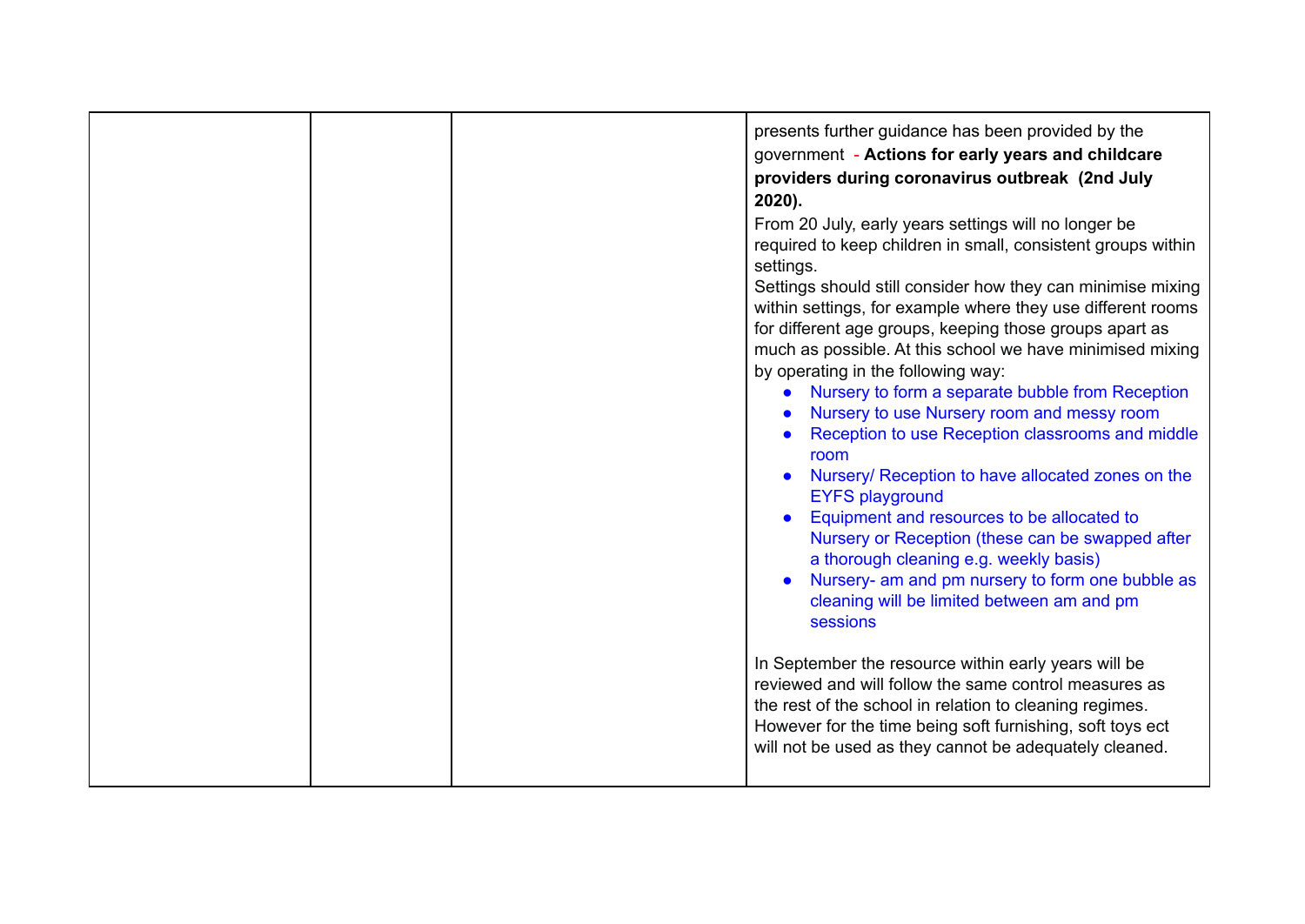|  | presents further guidance has been provided by the<br>government - Actions for early years and childcare<br>providers during coronavirus outbreak (2nd July<br>$2020$ ).<br>From 20 July, early years settings will no longer be<br>required to keep children in small, consistent groups within<br>settings.<br>Settings should still consider how they can minimise mixing<br>within settings, for example where they use different rooms<br>for different age groups, keeping those groups apart as<br>much as possible. At this school we have minimised mixing<br>by operating in the following way:<br>• Nursery to form a separate bubble from Reception<br>Nursery to use Nursery room and messy room<br>Reception to use Reception classrooms and middle<br>room<br>Nursery/ Reception to have allocated zones on the<br><b>EYFS playground</b><br>Equipment and resources to be allocated to<br>Nursery or Reception (these can be swapped after<br>a thorough cleaning e.g. weekly basis)<br>Nursery- am and pm nursery to form one bubble as<br>cleaning will be limited between am and pm<br>sessions<br>In September the resource within early years will be<br>reviewed and will follow the same control measures as<br>the rest of the school in relation to cleaning regimes.<br>However for the time being soft furnishing, soft toys ect<br>will not be used as they cannot be adequately cleaned. |
|--|-----------------------------------------------------------------------------------------------------------------------------------------------------------------------------------------------------------------------------------------------------------------------------------------------------------------------------------------------------------------------------------------------------------------------------------------------------------------------------------------------------------------------------------------------------------------------------------------------------------------------------------------------------------------------------------------------------------------------------------------------------------------------------------------------------------------------------------------------------------------------------------------------------------------------------------------------------------------------------------------------------------------------------------------------------------------------------------------------------------------------------------------------------------------------------------------------------------------------------------------------------------------------------------------------------------------------------------------------------------------------------------------------------------------------|
|  |                                                                                                                                                                                                                                                                                                                                                                                                                                                                                                                                                                                                                                                                                                                                                                                                                                                                                                                                                                                                                                                                                                                                                                                                                                                                                                                                                                                                                       |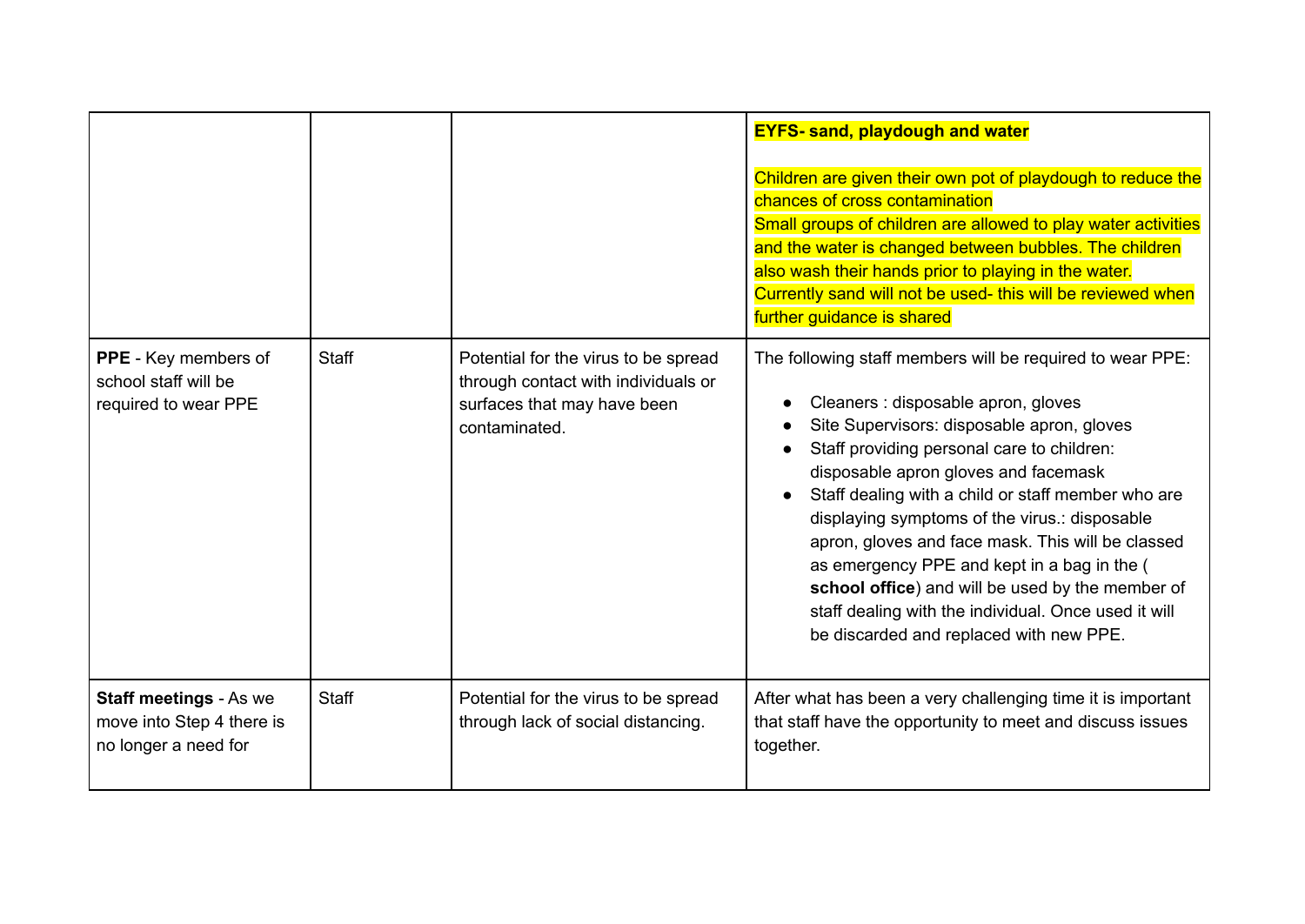|                                                                                    |              |                                                                                                                             | <b>EYFS- sand, playdough and water</b><br>Children are given their own pot of playdough to reduce the<br>chances of cross contamination<br>Small groups of children are allowed to play water activities<br>and the water is changed between bubbles. The children<br>also wash their hands prior to playing in the water.<br>Currently sand will not be used- this will be reviewed when<br>further guidance is shared                                                                                                                                                                                |
|------------------------------------------------------------------------------------|--------------|-----------------------------------------------------------------------------------------------------------------------------|--------------------------------------------------------------------------------------------------------------------------------------------------------------------------------------------------------------------------------------------------------------------------------------------------------------------------------------------------------------------------------------------------------------------------------------------------------------------------------------------------------------------------------------------------------------------------------------------------------|
| <b>PPE</b> - Key members of<br>school staff will be<br>required to wear PPE        | Staff        | Potential for the virus to be spread<br>through contact with individuals or<br>surfaces that may have been<br>contaminated. | The following staff members will be required to wear PPE:<br>Cleaners : disposable apron, gloves<br>Site Supervisors: disposable apron, gloves<br>Staff providing personal care to children:<br>disposable apron gloves and facemask<br>Staff dealing with a child or staff member who are<br>displaying symptoms of the virus.: disposable<br>apron, gloves and face mask. This will be classed<br>as emergency PPE and kept in a bag in the (<br>school office) and will be used by the member of<br>staff dealing with the individual. Once used it will<br>be discarded and replaced with new PPE. |
| <b>Staff meetings - As we</b><br>move into Step 4 there is<br>no longer a need for | <b>Staff</b> | Potential for the virus to be spread<br>through lack of social distancing.                                                  | After what has been a very challenging time it is important<br>that staff have the opportunity to meet and discuss issues<br>together.                                                                                                                                                                                                                                                                                                                                                                                                                                                                 |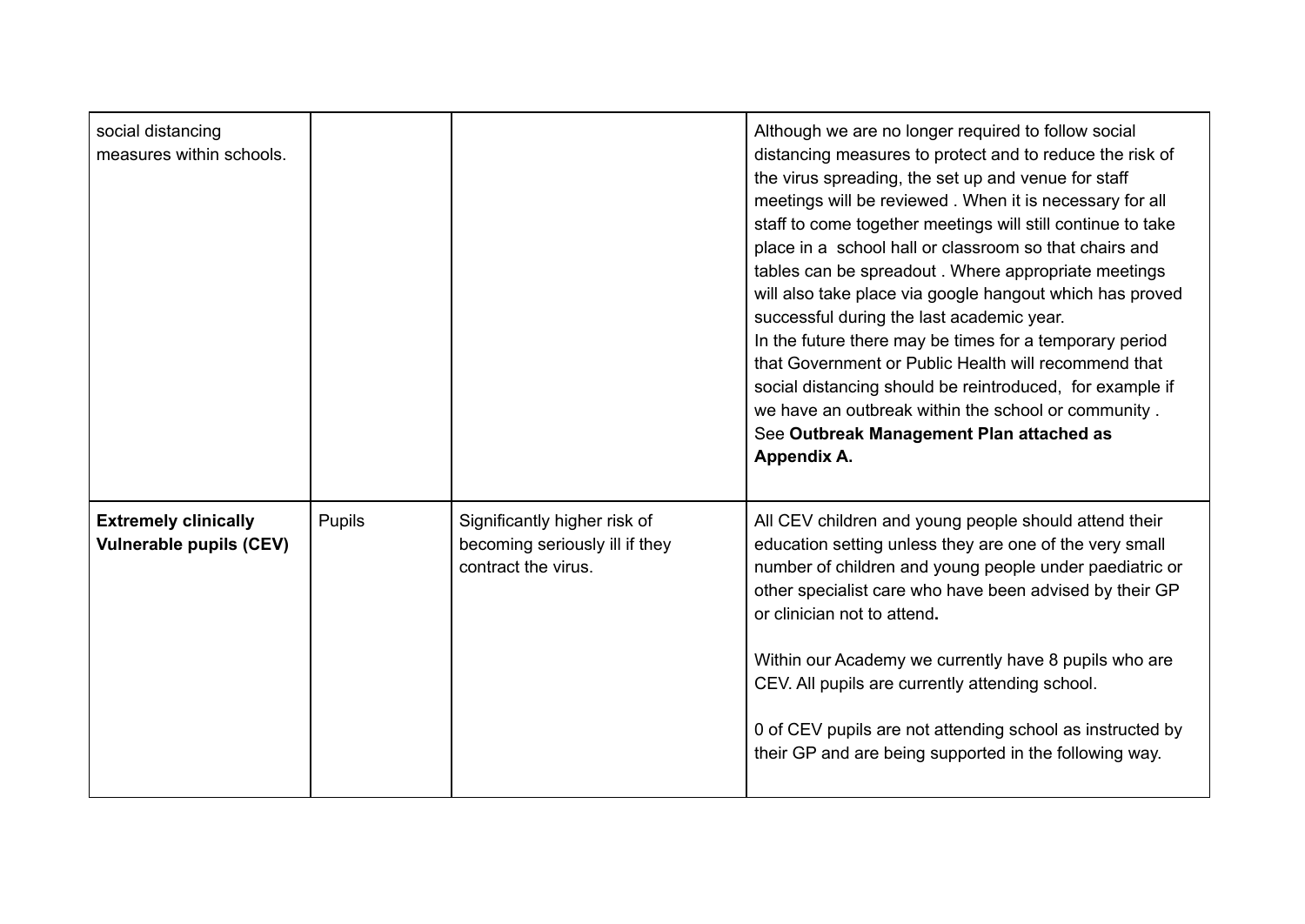| social distancing<br>measures within schools.                 |               |                                                                                       | Although we are no longer required to follow social<br>distancing measures to protect and to reduce the risk of<br>the virus spreading, the set up and venue for staff<br>meetings will be reviewed. When it is necessary for all<br>staff to come together meetings will still continue to take<br>place in a school hall or classroom so that chairs and<br>tables can be spreadout. Where appropriate meetings<br>will also take place via google hangout which has proved<br>successful during the last academic year.<br>In the future there may be times for a temporary period<br>that Government or Public Health will recommend that<br>social distancing should be reintroduced, for example if<br>we have an outbreak within the school or community.<br>See Outbreak Management Plan attached as<br>Appendix A. |
|---------------------------------------------------------------|---------------|---------------------------------------------------------------------------------------|-----------------------------------------------------------------------------------------------------------------------------------------------------------------------------------------------------------------------------------------------------------------------------------------------------------------------------------------------------------------------------------------------------------------------------------------------------------------------------------------------------------------------------------------------------------------------------------------------------------------------------------------------------------------------------------------------------------------------------------------------------------------------------------------------------------------------------|
| <b>Extremely clinically</b><br><b>Vulnerable pupils (CEV)</b> | <b>Pupils</b> | Significantly higher risk of<br>becoming seriously ill if they<br>contract the virus. | All CEV children and young people should attend their<br>education setting unless they are one of the very small<br>number of children and young people under paediatric or<br>other specialist care who have been advised by their GP<br>or clinician not to attend.<br>Within our Academy we currently have 8 pupils who are<br>CEV. All pupils are currently attending school.<br>0 of CEV pupils are not attending school as instructed by<br>their GP and are being supported in the following way.                                                                                                                                                                                                                                                                                                                    |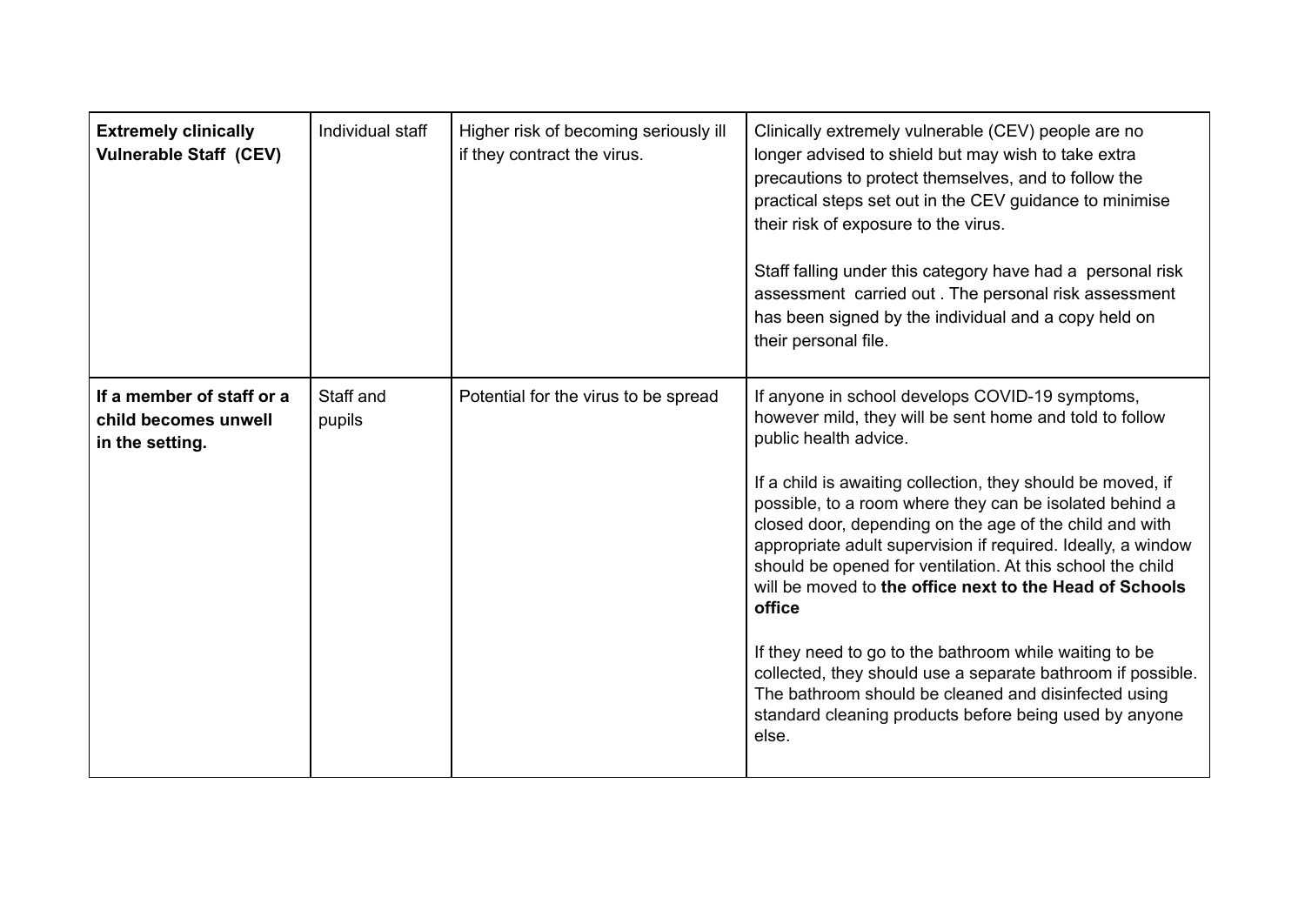| <b>Extremely clinically</b><br><b>Vulnerable Staff (CEV)</b>         | Individual staff    | Higher risk of becoming seriously ill<br>if they contract the virus. | Clinically extremely vulnerable (CEV) people are no<br>longer advised to shield but may wish to take extra<br>precautions to protect themselves, and to follow the<br>practical steps set out in the CEV guidance to minimise<br>their risk of exposure to the virus.<br>Staff falling under this category have had a personal risk<br>assessment carried out. The personal risk assessment<br>has been signed by the individual and a copy held on<br>their personal file.                                                                                                                                                                                                                                                                                                     |
|----------------------------------------------------------------------|---------------------|----------------------------------------------------------------------|---------------------------------------------------------------------------------------------------------------------------------------------------------------------------------------------------------------------------------------------------------------------------------------------------------------------------------------------------------------------------------------------------------------------------------------------------------------------------------------------------------------------------------------------------------------------------------------------------------------------------------------------------------------------------------------------------------------------------------------------------------------------------------|
| If a member of staff or a<br>child becomes unwell<br>in the setting. | Staff and<br>pupils | Potential for the virus to be spread                                 | If anyone in school develops COVID-19 symptoms,<br>however mild, they will be sent home and told to follow<br>public health advice.<br>If a child is awaiting collection, they should be moved, if<br>possible, to a room where they can be isolated behind a<br>closed door, depending on the age of the child and with<br>appropriate adult supervision if required. Ideally, a window<br>should be opened for ventilation. At this school the child<br>will be moved to the office next to the Head of Schools<br>office<br>If they need to go to the bathroom while waiting to be<br>collected, they should use a separate bathroom if possible.<br>The bathroom should be cleaned and disinfected using<br>standard cleaning products before being used by anyone<br>else. |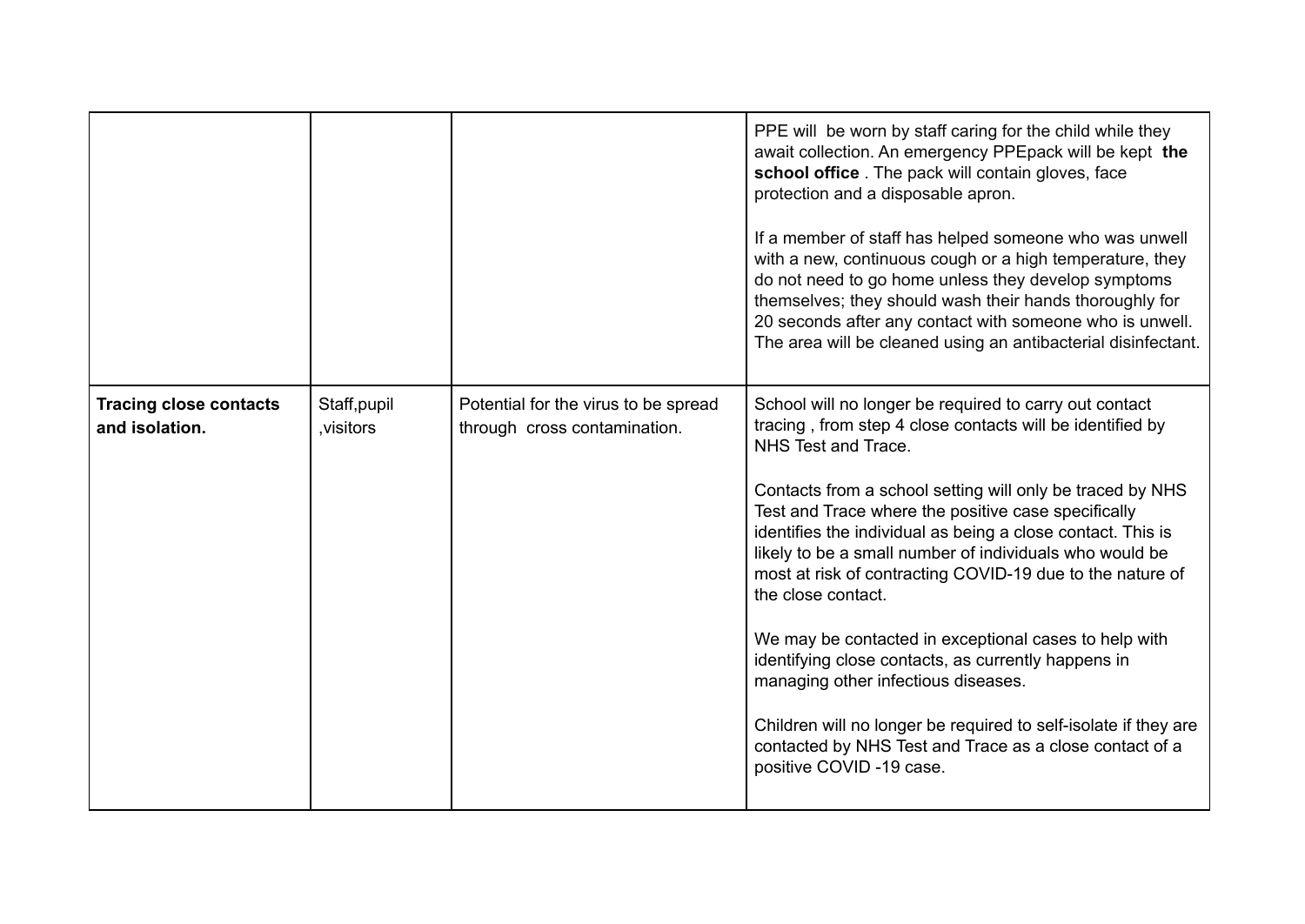|                                                 |                           |                                                                      | PPE will be worn by staff caring for the child while they<br>await collection. An emergency PPEpack will be kept the<br>school office . The pack will contain gloves, face<br>protection and a disposable apron.<br>If a member of staff has helped someone who was unwell<br>with a new, continuous cough or a high temperature, they<br>do not need to go home unless they develop symptoms<br>themselves; they should wash their hands thoroughly for<br>20 seconds after any contact with someone who is unwell.<br>The area will be cleaned using an antibacterial disinfectant.                                                                                                                                                                                                        |
|-------------------------------------------------|---------------------------|----------------------------------------------------------------------|----------------------------------------------------------------------------------------------------------------------------------------------------------------------------------------------------------------------------------------------------------------------------------------------------------------------------------------------------------------------------------------------------------------------------------------------------------------------------------------------------------------------------------------------------------------------------------------------------------------------------------------------------------------------------------------------------------------------------------------------------------------------------------------------|
| <b>Tracing close contacts</b><br>and isolation. | Staff, pupil<br>visitors, | Potential for the virus to be spread<br>through cross contamination. | School will no longer be required to carry out contact<br>tracing, from step 4 close contacts will be identified by<br>NHS Test and Trace.<br>Contacts from a school setting will only be traced by NHS<br>Test and Trace where the positive case specifically<br>identifies the individual as being a close contact. This is<br>likely to be a small number of individuals who would be<br>most at risk of contracting COVID-19 due to the nature of<br>the close contact.<br>We may be contacted in exceptional cases to help with<br>identifying close contacts, as currently happens in<br>managing other infectious diseases.<br>Children will no longer be required to self-isolate if they are<br>contacted by NHS Test and Trace as a close contact of a<br>positive COVID -19 case. |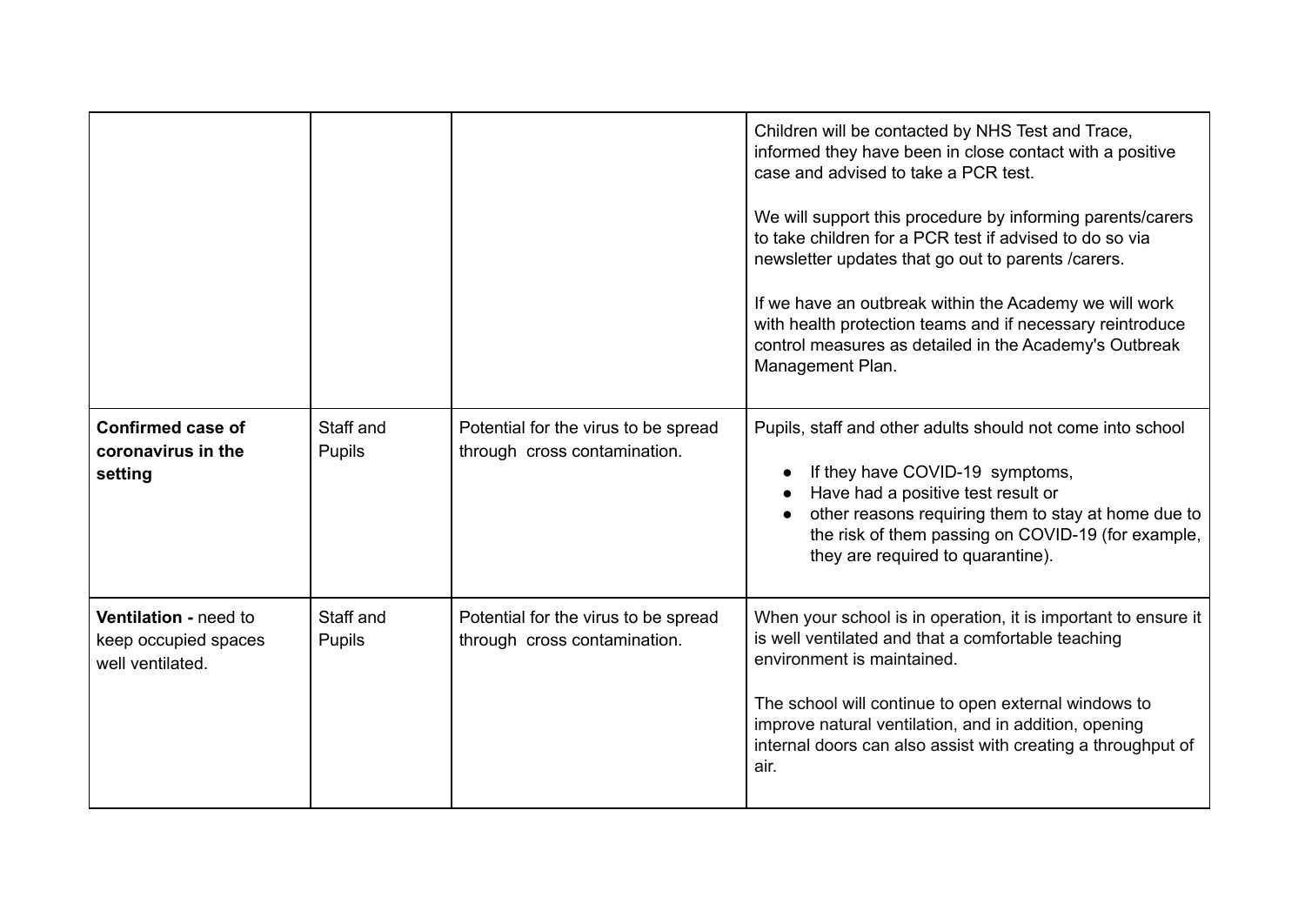|                                                                   |                     |                                                                      | Children will be contacted by NHS Test and Trace,<br>informed they have been in close contact with a positive<br>case and advised to take a PCR test.<br>We will support this procedure by informing parents/carers<br>to take children for a PCR test if advised to do so via<br>newsletter updates that go out to parents / carers.<br>If we have an outbreak within the Academy we will work<br>with health protection teams and if necessary reintroduce<br>control measures as detailed in the Academy's Outbreak<br>Management Plan. |
|-------------------------------------------------------------------|---------------------|----------------------------------------------------------------------|--------------------------------------------------------------------------------------------------------------------------------------------------------------------------------------------------------------------------------------------------------------------------------------------------------------------------------------------------------------------------------------------------------------------------------------------------------------------------------------------------------------------------------------------|
| <b>Confirmed case of</b><br>coronavirus in the<br>setting         | Staff and<br>Pupils | Potential for the virus to be spread<br>through cross contamination. | Pupils, staff and other adults should not come into school<br>If they have COVID-19 symptoms,<br>Have had a positive test result or<br>other reasons requiring them to stay at home due to<br>the risk of them passing on COVID-19 (for example,<br>they are required to quarantine).                                                                                                                                                                                                                                                      |
| Ventilation - need to<br>keep occupied spaces<br>well ventilated. | Staff and<br>Pupils | Potential for the virus to be spread<br>through cross contamination. | When your school is in operation, it is important to ensure it<br>is well ventilated and that a comfortable teaching<br>environment is maintained.<br>The school will continue to open external windows to<br>improve natural ventilation, and in addition, opening<br>internal doors can also assist with creating a throughput of<br>air.                                                                                                                                                                                                |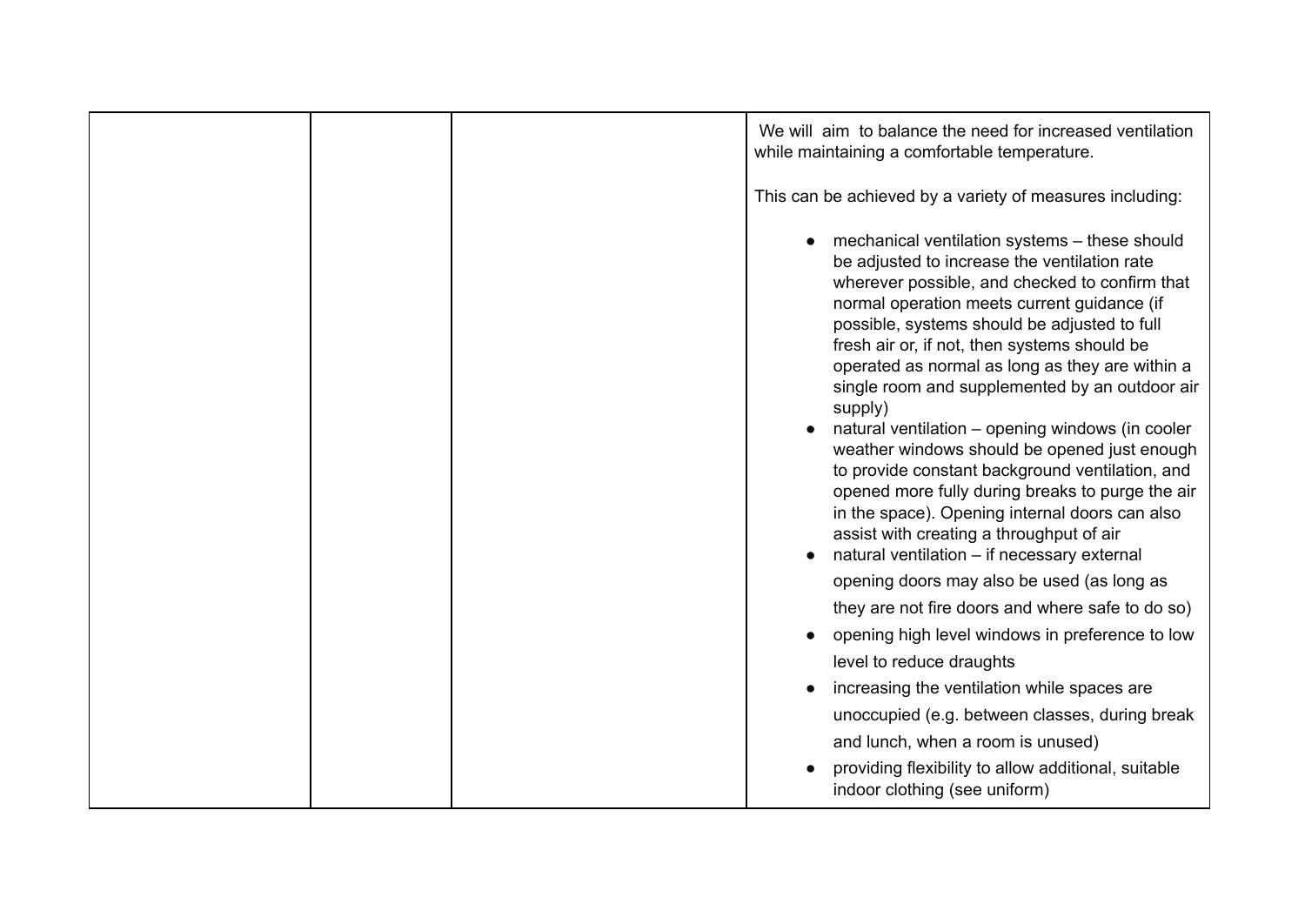|  | We will aim to balance the need for increased ventilation<br>while maintaining a comfortable temperature.                                                                                                                                                                                                                                                                                                                                                                                                                                                                                                                                                                                                                                                              |
|--|------------------------------------------------------------------------------------------------------------------------------------------------------------------------------------------------------------------------------------------------------------------------------------------------------------------------------------------------------------------------------------------------------------------------------------------------------------------------------------------------------------------------------------------------------------------------------------------------------------------------------------------------------------------------------------------------------------------------------------------------------------------------|
|  | This can be achieved by a variety of measures including:                                                                                                                                                                                                                                                                                                                                                                                                                                                                                                                                                                                                                                                                                                               |
|  | mechanical ventilation systems - these should<br>be adjusted to increase the ventilation rate<br>wherever possible, and checked to confirm that<br>normal operation meets current guidance (if<br>possible, systems should be adjusted to full<br>fresh air or, if not, then systems should be<br>operated as normal as long as they are within a<br>single room and supplemented by an outdoor air<br>supply)<br>natural ventilation - opening windows (in cooler<br>weather windows should be opened just enough<br>to provide constant background ventilation, and<br>opened more fully during breaks to purge the air<br>in the space). Opening internal doors can also<br>assist with creating a throughput of air<br>natural ventilation - if necessary external |
|  | opening doors may also be used (as long as                                                                                                                                                                                                                                                                                                                                                                                                                                                                                                                                                                                                                                                                                                                             |
|  | they are not fire doors and where safe to do so)                                                                                                                                                                                                                                                                                                                                                                                                                                                                                                                                                                                                                                                                                                                       |
|  | opening high level windows in preference to low                                                                                                                                                                                                                                                                                                                                                                                                                                                                                                                                                                                                                                                                                                                        |
|  | level to reduce draughts                                                                                                                                                                                                                                                                                                                                                                                                                                                                                                                                                                                                                                                                                                                                               |
|  | increasing the ventilation while spaces are                                                                                                                                                                                                                                                                                                                                                                                                                                                                                                                                                                                                                                                                                                                            |
|  | unoccupied (e.g. between classes, during break                                                                                                                                                                                                                                                                                                                                                                                                                                                                                                                                                                                                                                                                                                                         |
|  | and lunch, when a room is unused)                                                                                                                                                                                                                                                                                                                                                                                                                                                                                                                                                                                                                                                                                                                                      |
|  | providing flexibility to allow additional, suitable<br>indoor clothing (see uniform)                                                                                                                                                                                                                                                                                                                                                                                                                                                                                                                                                                                                                                                                                   |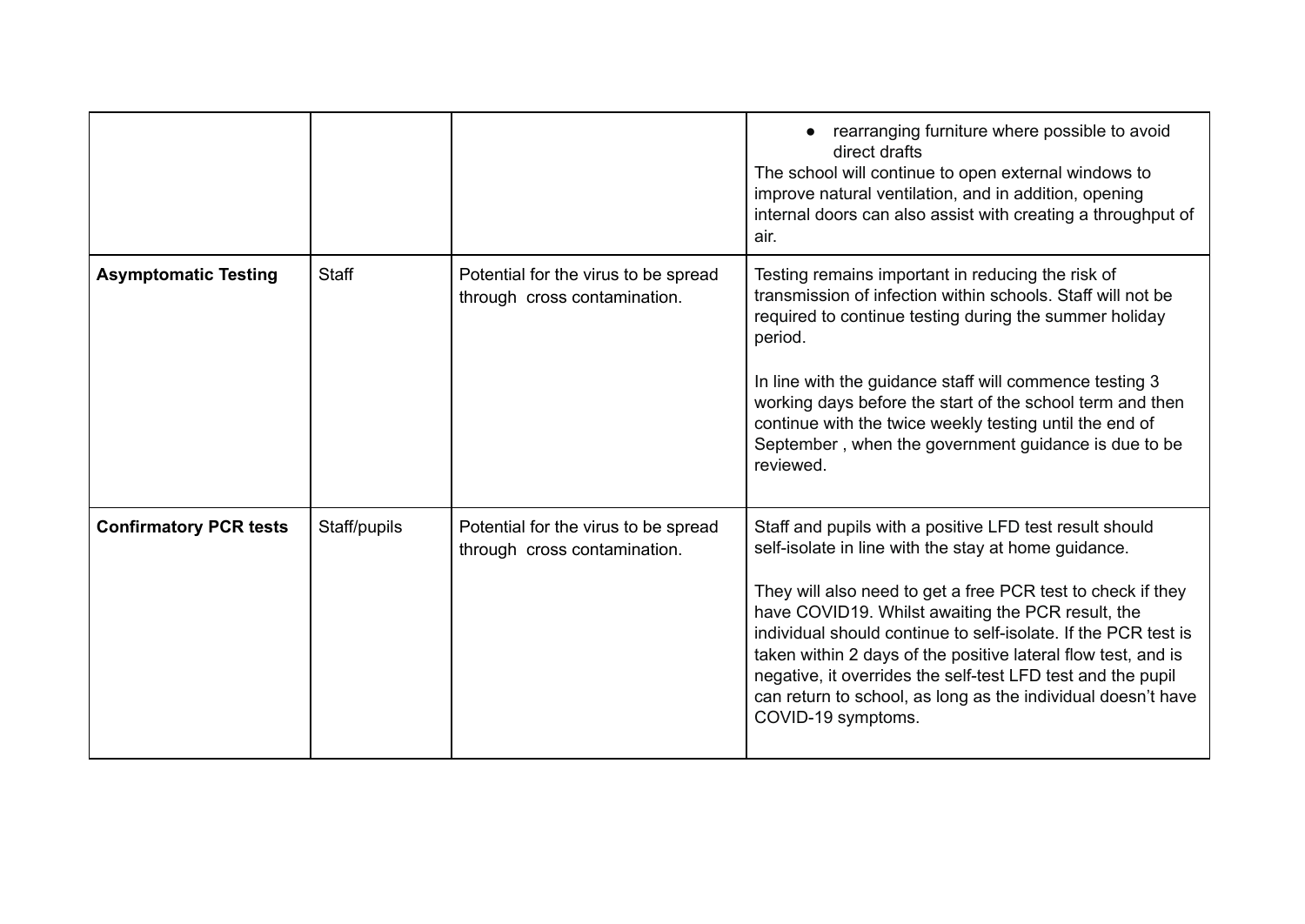|                               |              |                                                                      | rearranging furniture where possible to avoid<br>direct drafts<br>The school will continue to open external windows to<br>improve natural ventilation, and in addition, opening<br>internal doors can also assist with creating a throughput of<br>air.                                                                                                                                                                                                                                                                     |
|-------------------------------|--------------|----------------------------------------------------------------------|-----------------------------------------------------------------------------------------------------------------------------------------------------------------------------------------------------------------------------------------------------------------------------------------------------------------------------------------------------------------------------------------------------------------------------------------------------------------------------------------------------------------------------|
| <b>Asymptomatic Testing</b>   | <b>Staff</b> | Potential for the virus to be spread<br>through cross contamination. | Testing remains important in reducing the risk of<br>transmission of infection within schools. Staff will not be<br>required to continue testing during the summer holiday<br>period.<br>In line with the guidance staff will commence testing 3<br>working days before the start of the school term and then<br>continue with the twice weekly testing until the end of<br>September, when the government guidance is due to be<br>reviewed.                                                                               |
| <b>Confirmatory PCR tests</b> | Staff/pupils | Potential for the virus to be spread<br>through cross contamination. | Staff and pupils with a positive LFD test result should<br>self-isolate in line with the stay at home guidance.<br>They will also need to get a free PCR test to check if they<br>have COVID19. Whilst awaiting the PCR result, the<br>individual should continue to self-isolate. If the PCR test is<br>taken within 2 days of the positive lateral flow test, and is<br>negative, it overrides the self-test LFD test and the pupil<br>can return to school, as long as the individual doesn't have<br>COVID-19 symptoms. |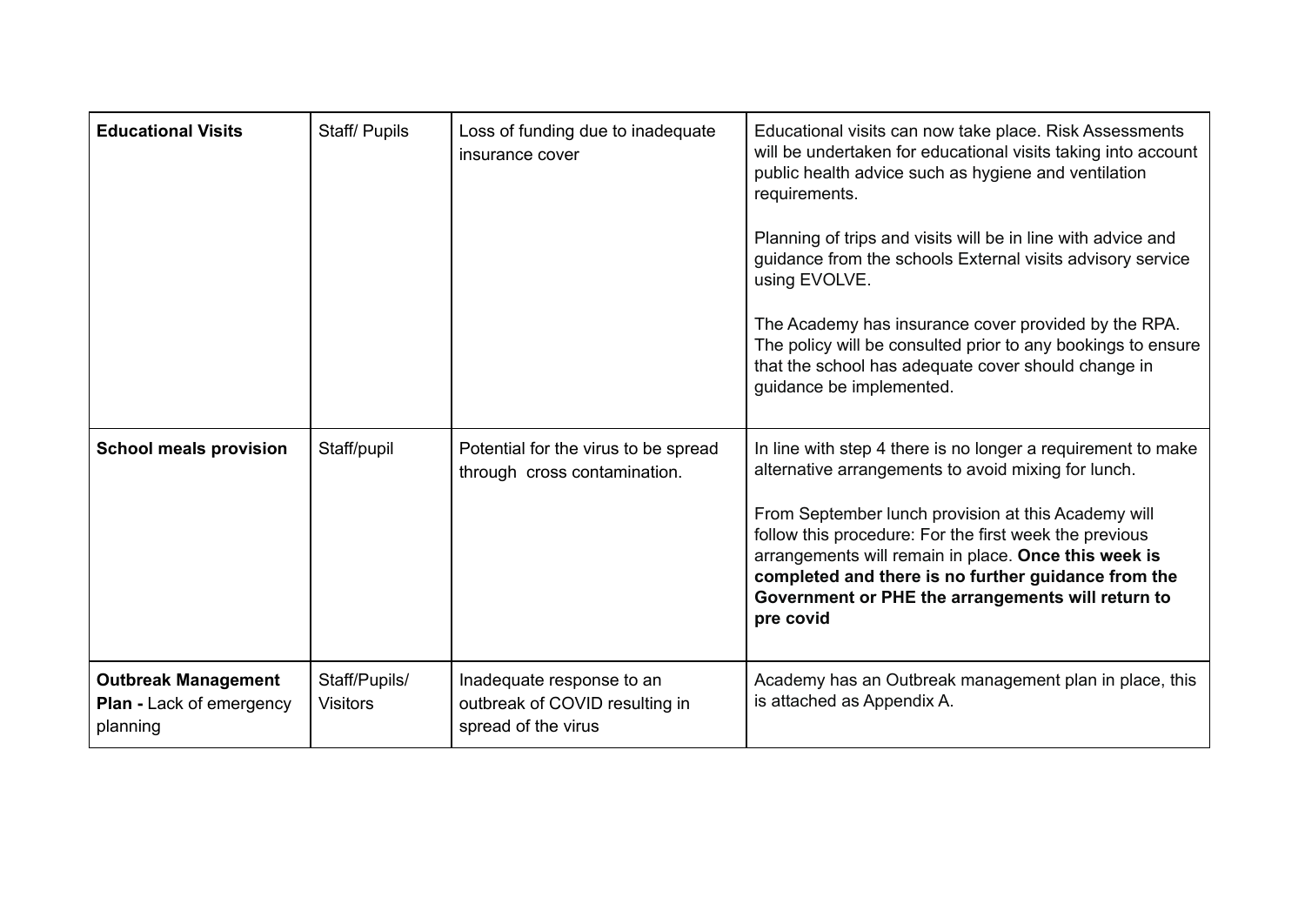| <b>Educational Visits</b>                                                 | Staff/ Pupils                    | Loss of funding due to inadequate<br>insurance cover                               | Educational visits can now take place. Risk Assessments<br>will be undertaken for educational visits taking into account<br>public health advice such as hygiene and ventilation<br>requirements.<br>Planning of trips and visits will be in line with advice and<br>guidance from the schools External visits advisory service<br>using EVOLVE.<br>The Academy has insurance cover provided by the RPA.<br>The policy will be consulted prior to any bookings to ensure<br>that the school has adequate cover should change in<br>guidance be implemented. |
|---------------------------------------------------------------------------|----------------------------------|------------------------------------------------------------------------------------|-------------------------------------------------------------------------------------------------------------------------------------------------------------------------------------------------------------------------------------------------------------------------------------------------------------------------------------------------------------------------------------------------------------------------------------------------------------------------------------------------------------------------------------------------------------|
| <b>School meals provision</b>                                             | Staff/pupil                      | Potential for the virus to be spread<br>through cross contamination.               | In line with step 4 there is no longer a requirement to make<br>alternative arrangements to avoid mixing for lunch.<br>From September lunch provision at this Academy will<br>follow this procedure: For the first week the previous<br>arrangements will remain in place. Once this week is<br>completed and there is no further guidance from the<br>Government or PHE the arrangements will return to<br>pre covid                                                                                                                                       |
| <b>Outbreak Management</b><br><b>Plan - Lack of emergency</b><br>planning | Staff/Pupils/<br><b>Visitors</b> | Inadequate response to an<br>outbreak of COVID resulting in<br>spread of the virus | Academy has an Outbreak management plan in place, this<br>is attached as Appendix A.                                                                                                                                                                                                                                                                                                                                                                                                                                                                        |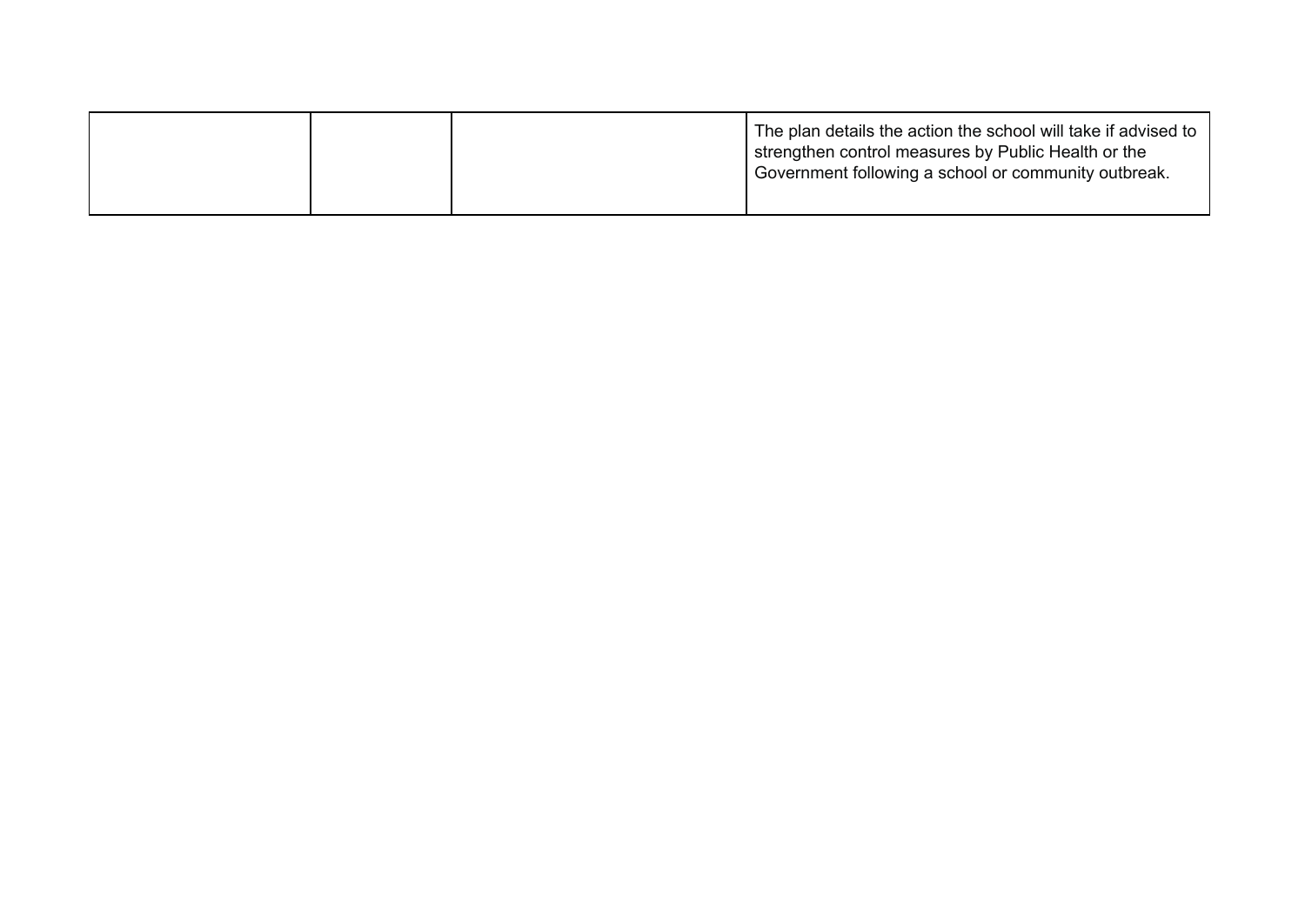|  |  | The plan details the action the school will take if advised to<br>strengthen control measures by Public Health or the<br>Government following a school or community outbreak. |
|--|--|-------------------------------------------------------------------------------------------------------------------------------------------------------------------------------|
|--|--|-------------------------------------------------------------------------------------------------------------------------------------------------------------------------------|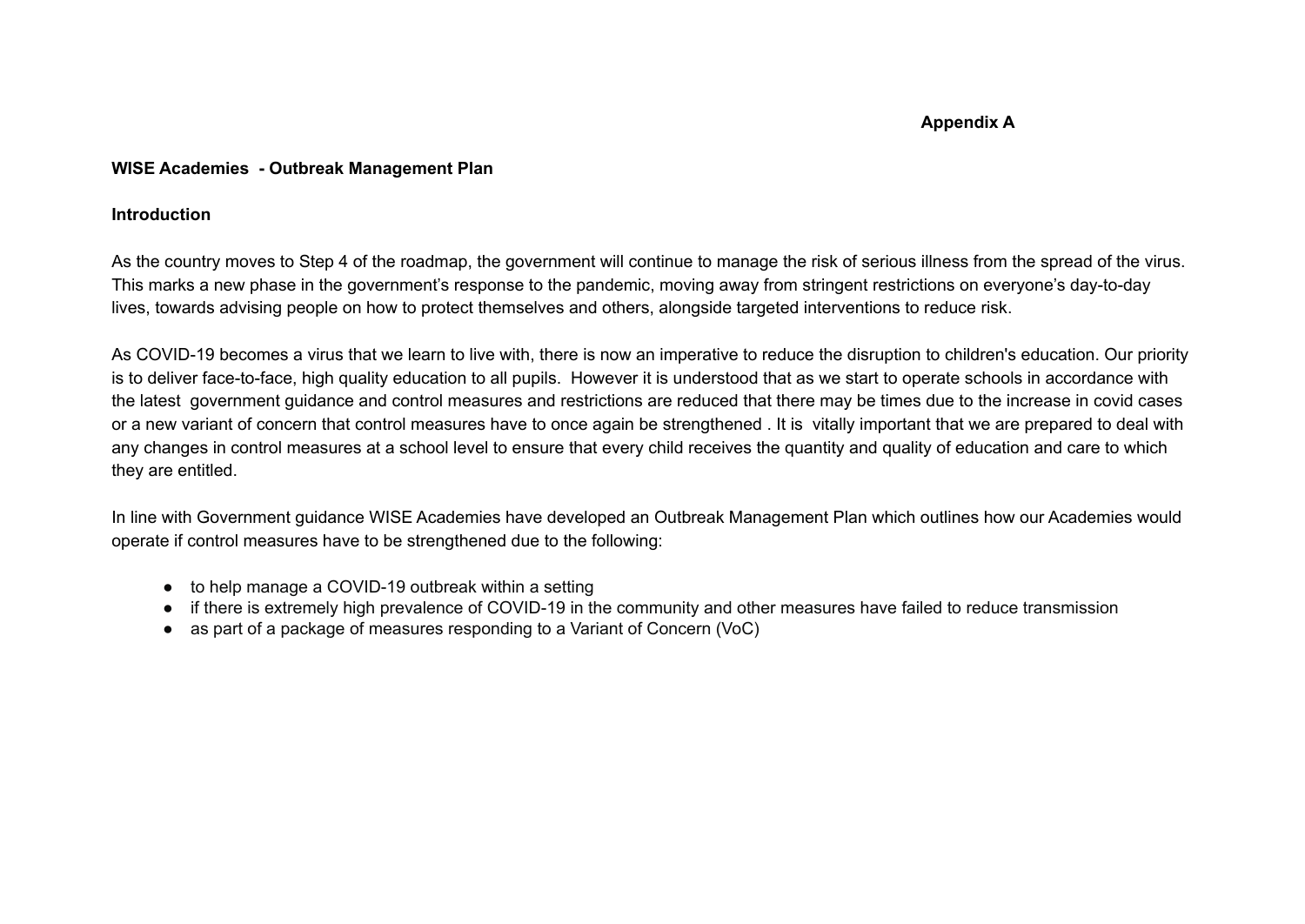## **Appendix A**

## **WISE Academies - Outbreak Management Plan**

## **Introduction**

As the country moves to Step 4 of the roadmap, the government will continue to manage the risk of serious illness from the spread of the virus. This marks a new phase in the government's response to the pandemic, moving away from stringent restrictions on everyone's day-to-day lives, towards advising people on how to protect themselves and others, alongside targeted interventions to reduce risk.

As COVID-19 becomes a virus that we learn to live with, there is now an imperative to reduce the disruption to children's education. Our priority is to deliver face-to-face, high quality education to all pupils. However it is understood that as we start to operate schools in accordance with the latest government guidance and control measures and restrictions are reduced that there may be times due to the increase in covid cases or a new variant of concern that control measures have to once again be strengthened . It is vitally important that we are prepared to deal with any changes in control measures at a school level to ensure that every child receives the quantity and quality of education and care to which they are entitled.

In line with Government guidance WISE Academies have developed an Outbreak Management Plan which outlines how our Academies would operate if control measures have to be strengthened due to the following:

- to help manage a COVID-19 outbreak within a setting
- if there is extremely high prevalence of COVID-19 in the community and other measures have failed to reduce transmission
- as part of a package of measures responding to a Variant of Concern (VoC)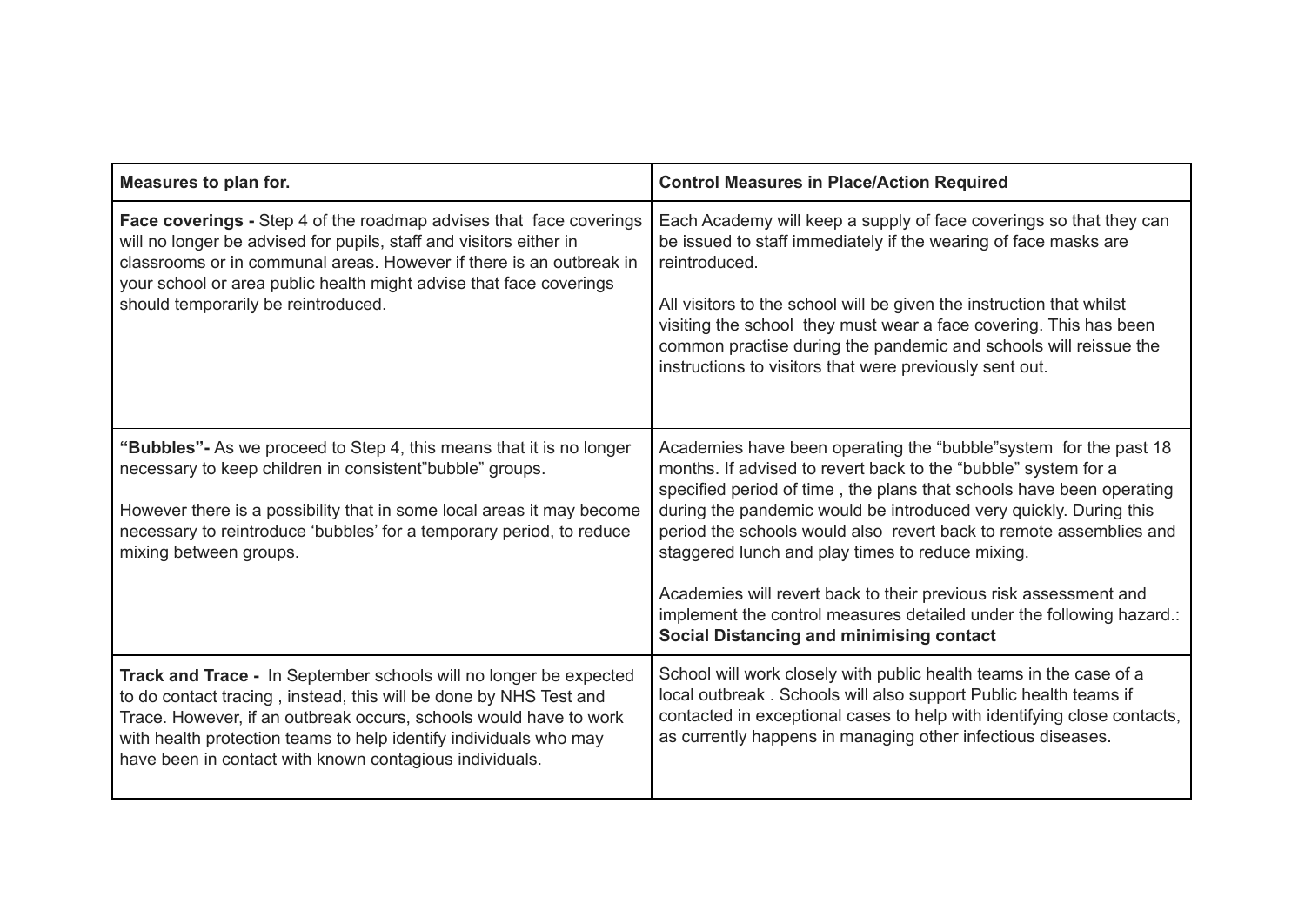| Measures to plan for.                                                                                                                                                                                                                                                                                                                       | <b>Control Measures in Place/Action Required</b>                                                                                                                                                                                                                                                                                                                                                                                                                                                                                                                                                          |
|---------------------------------------------------------------------------------------------------------------------------------------------------------------------------------------------------------------------------------------------------------------------------------------------------------------------------------------------|-----------------------------------------------------------------------------------------------------------------------------------------------------------------------------------------------------------------------------------------------------------------------------------------------------------------------------------------------------------------------------------------------------------------------------------------------------------------------------------------------------------------------------------------------------------------------------------------------------------|
| <b>Face coverings - Step 4 of the roadmap advises that face coverings</b><br>will no longer be advised for pupils, staff and visitors either in<br>classrooms or in communal areas. However if there is an outbreak in<br>your school or area public health might advise that face coverings<br>should temporarily be reintroduced.         | Each Academy will keep a supply of face coverings so that they can<br>be issued to staff immediately if the wearing of face masks are<br>reintroduced.<br>All visitors to the school will be given the instruction that whilst<br>visiting the school they must wear a face covering. This has been<br>common practise during the pandemic and schools will reissue the<br>instructions to visitors that were previously sent out.                                                                                                                                                                        |
| "Bubbles" - As we proceed to Step 4, this means that it is no longer<br>necessary to keep children in consistent"bubble" groups.<br>However there is a possibility that in some local areas it may become<br>necessary to reintroduce 'bubbles' for a temporary period, to reduce<br>mixing between groups.                                 | Academies have been operating the "bubble" system for the past 18<br>months. If advised to revert back to the "bubble" system for a<br>specified period of time, the plans that schools have been operating<br>during the pandemic would be introduced very quickly. During this<br>period the schools would also revert back to remote assemblies and<br>staggered lunch and play times to reduce mixing.<br>Academies will revert back to their previous risk assessment and<br>implement the control measures detailed under the following hazard.:<br><b>Social Distancing and minimising contact</b> |
| Track and Trace - In September schools will no longer be expected<br>to do contact tracing, instead, this will be done by NHS Test and<br>Trace. However, if an outbreak occurs, schools would have to work<br>with health protection teams to help identify individuals who may<br>have been in contact with known contagious individuals. | School will work closely with public health teams in the case of a<br>local outbreak. Schools will also support Public health teams if<br>contacted in exceptional cases to help with identifying close contacts,<br>as currently happens in managing other infectious diseases.                                                                                                                                                                                                                                                                                                                          |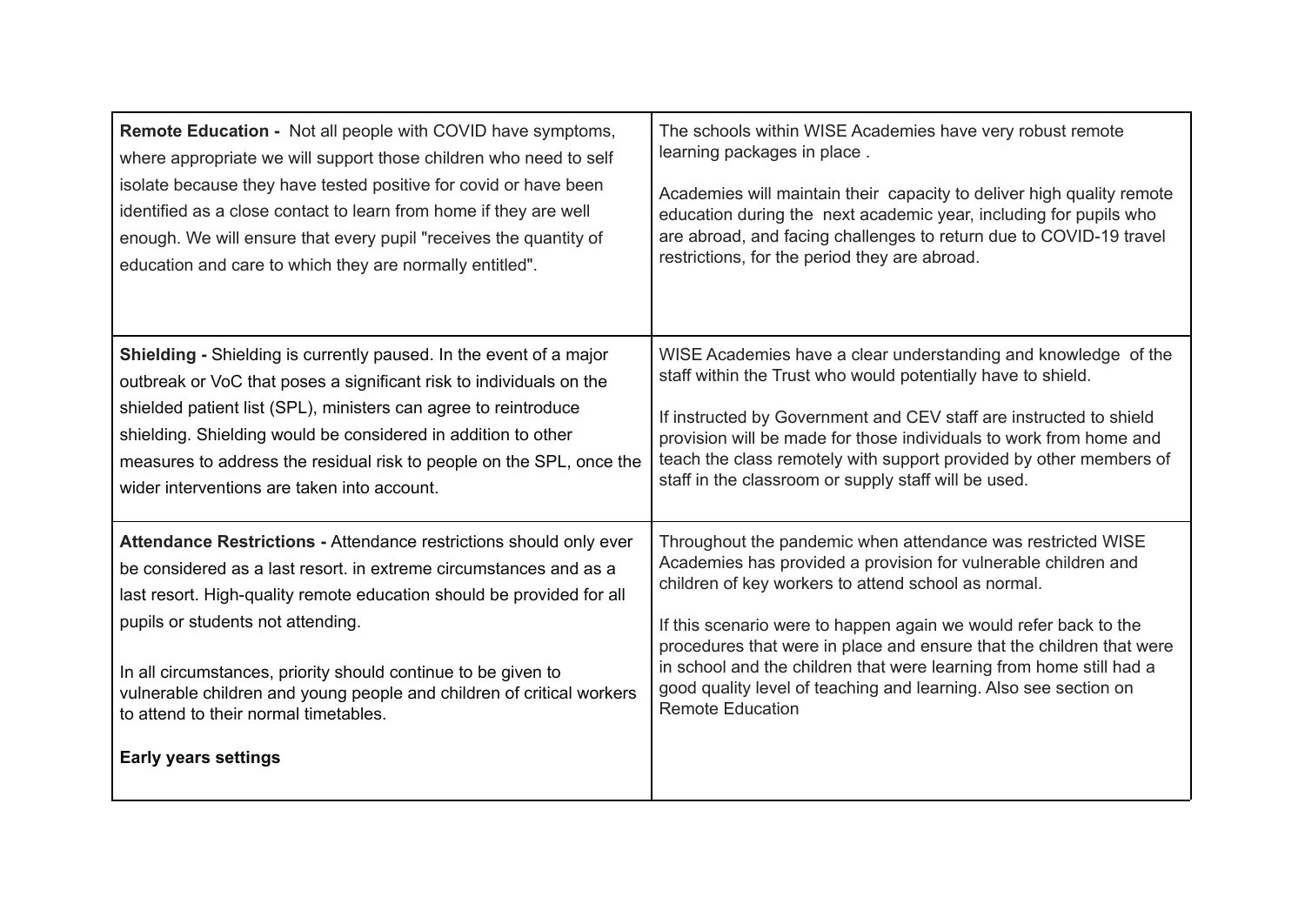| Remote Education - Not all people with COVID have symptoms,           | The schools within WISE Academies have very robust remote             |
|-----------------------------------------------------------------------|-----------------------------------------------------------------------|
| where appropriate we will support those children who need to self     | learning packages in place.                                           |
| isolate because they have tested positive for covid or have been      | Academies will maintain their capacity to deliver high quality remote |
| identified as a close contact to learn from home if they are well     | education during the next academic year, including for pupils who     |
| enough. We will ensure that every pupil "receives the quantity of     | are abroad, and facing challenges to return due to COVID-19 travel    |
| education and care to which they are normally entitled".              | restrictions, for the period they are abroad.                         |
| Shielding - Shielding is currently paused. In the event of a major    | WISE Academies have a clear understanding and knowledge of the        |
| outbreak or VoC that poses a significant risk to individuals on the   | staff within the Trust who would potentially have to shield.          |
| shielded patient list (SPL), ministers can agree to reintroduce       | If instructed by Government and CEV staff are instructed to shield    |
| shielding. Shielding would be considered in addition to other         | provision will be made for those individuals to work from home and    |
| measures to address the residual risk to people on the SPL, once the  | teach the class remotely with support provided by other members of    |
| wider interventions are taken into account.                           | staff in the classroom or supply staff will be used.                  |
| Attendance Restrictions - Attendance restrictions should only ever    | Throughout the pandemic when attendance was restricted WISE           |
| be considered as a last resort. in extreme circumstances and as a     | Academies has provided a provision for vulnerable children and        |
| last resort. High-quality remote education should be provided for all | children of key workers to attend school as normal.                   |
| pupils or students not attending.                                     | If this scenario were to happen again we would refer back to the      |
| In all circumstances, priority should continue to be given to         | procedures that were in place and ensure that the children that were  |
| vulnerable children and young people and children of critical workers | in school and the children that were learning from home still had a   |
| to attend to their normal timetables.                                 | good quality level of teaching and learning. Also see section on      |
| <b>Early years settings</b>                                           | <b>Remote Education</b>                                               |